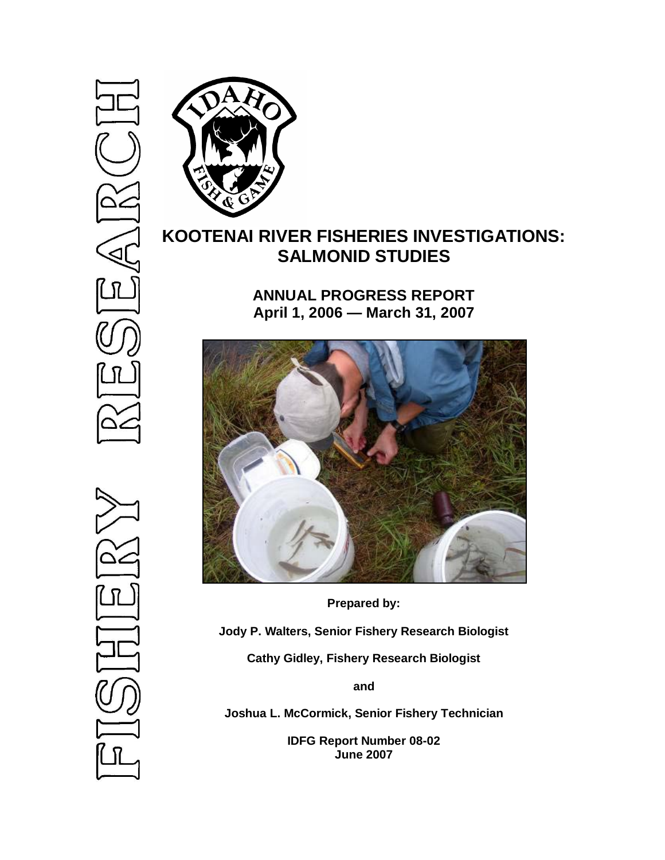

# **KOOTENAI RIVER FISHERIES INVESTIGATIONS: SALMONID STUDIES**

**ANNUAL PROGRESS REPORT April 1, 2006 — March 31, 2007**



**Prepared by:**

**Jody P. Walters, Senior Fishery Research Biologist**

**Cathy Gidley, Fishery Research Biologist**

**and**

**Joshua L. McCormick, Senior Fishery Technician**

**IDFG Report Number 08-02 June 2007**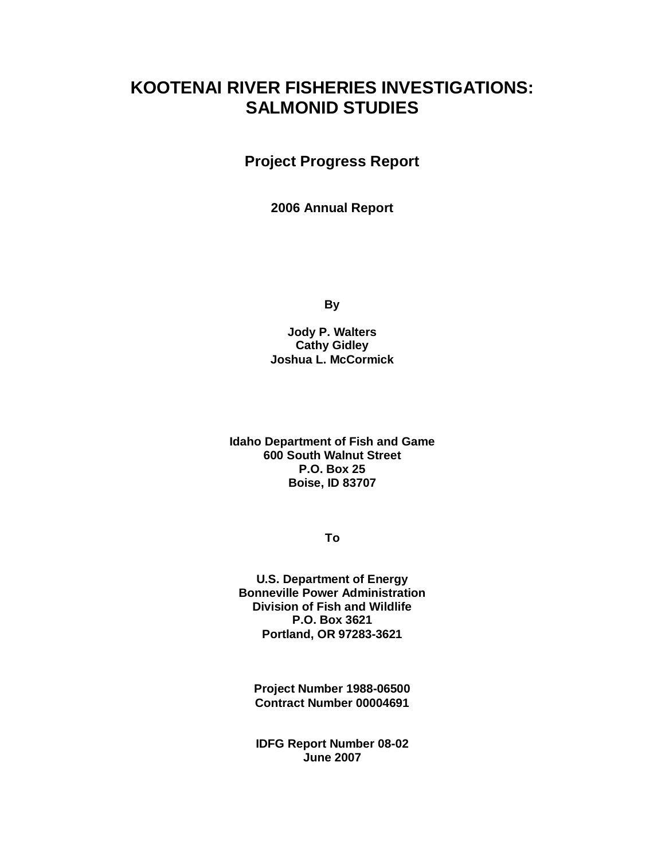# **KOOTENAI RIVER FISHERIES INVESTIGATIONS: SALMONID STUDIES**

**Project Progress Report**

**2006 Annual Report**

**By**

**Jody P. Walters Cathy Gidley Joshua L. McCormick**

**Idaho Department of Fish and Game 600 South Walnut Street P.O. Box 25 Boise, ID 83707**

**To**

**U.S. Department of Energy Bonneville Power Administration Division of Fish and Wildlife P.O. Box 3621 Portland, OR 97283-3621**

**Project Number 1988-06500 Contract Number 00004691**

**IDFG Report Number 08-02 June 2007**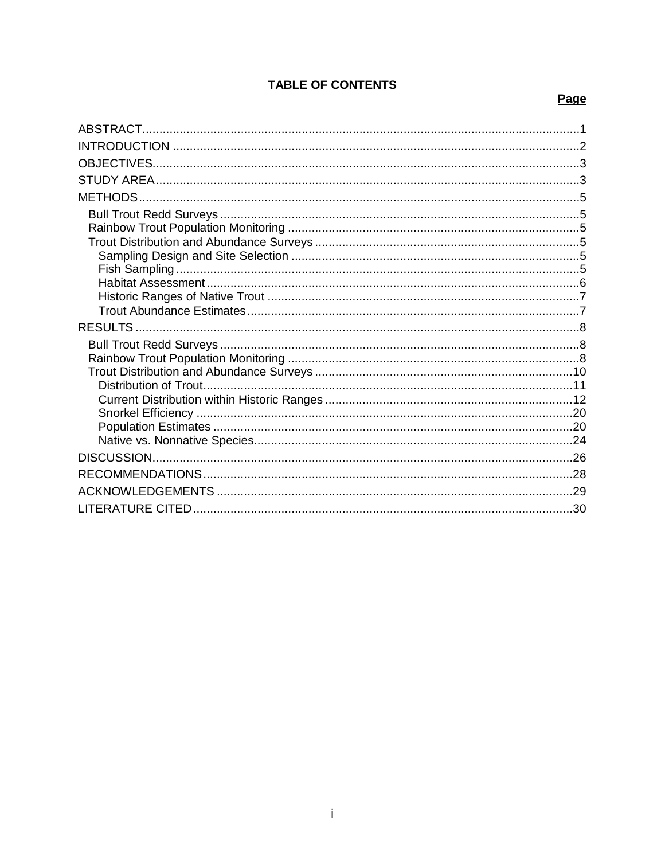# **TABLE OF CONTENTS**

# Page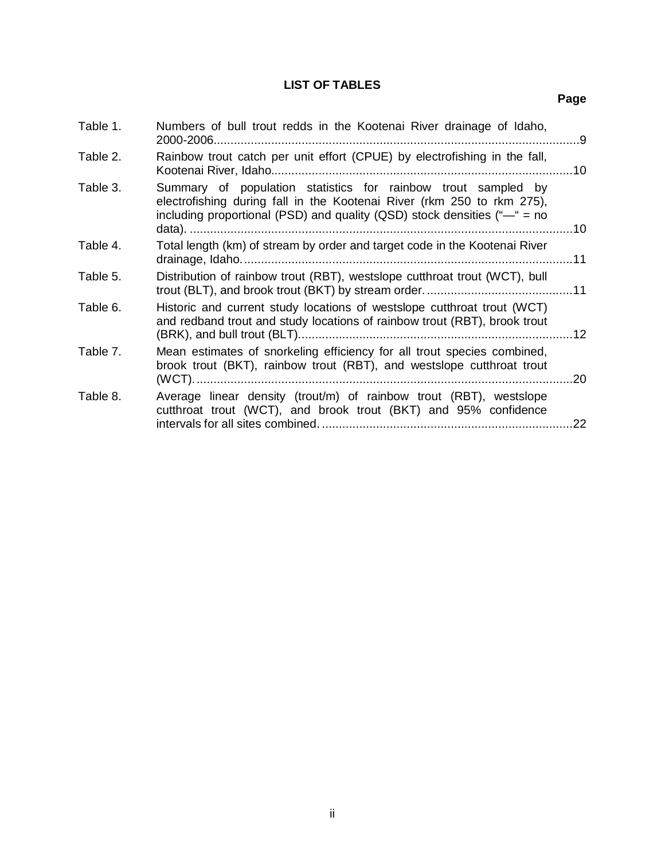## **LIST OF TABLES**

**Page**

| Table 1. | Numbers of bull trout redds in the Kootenai River drainage of Idaho,<br>2000-2006                                                                                                                                    | -9  |
|----------|----------------------------------------------------------------------------------------------------------------------------------------------------------------------------------------------------------------------|-----|
| Table 2. | Rainbow trout catch per unit effort (CPUE) by electrofishing in the fall,                                                                                                                                            | .10 |
| Table 3. | Summary of population statistics for rainbow trout sampled by<br>electrofishing during fall in the Kootenai River (rkm 250 to rkm 275),<br>including proportional (PSD) and quality (QSD) stock densities ( $-$ = no | .10 |
| Table 4. | Total length (km) of stream by order and target code in the Kootenai River                                                                                                                                           |     |
| Table 5. | Distribution of rainbow trout (RBT), westslope cutthroat trout (WCT), bull                                                                                                                                           |     |
| Table 6. | Historic and current study locations of westslope cutthroat trout (WCT)<br>and redband trout and study locations of rainbow trout (RBT), brook trout                                                                 |     |
| Table 7. | Mean estimates of snorkeling efficiency for all trout species combined,<br>brook trout (BKT), rainbow trout (RBT), and westslope cutthroat trout<br>$(WCT)$                                                          | .20 |
| Table 8. | Average linear density (trout/m) of rainbow trout (RBT), westslope<br>cutthroat trout (WCT), and brook trout (BKT) and 95% confidence                                                                                | 22  |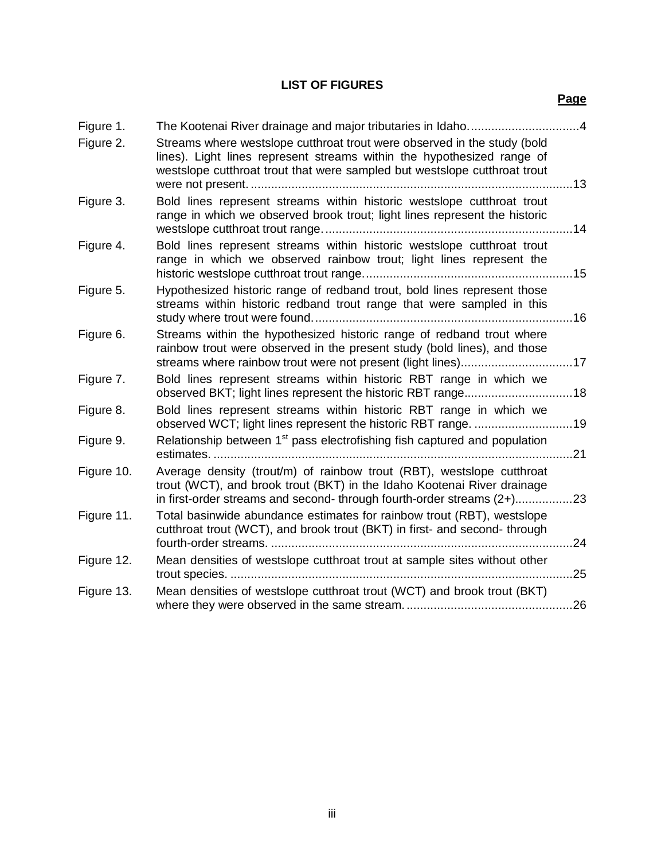# **LIST OF FIGURES**

## **Page**

| Figure 1.  |                                                                                                                                                                                                                                 |      |
|------------|---------------------------------------------------------------------------------------------------------------------------------------------------------------------------------------------------------------------------------|------|
| Figure 2.  | Streams where westslope cutthroat trout were observed in the study (bold<br>lines). Light lines represent streams within the hypothesized range of<br>westslope cutthroat trout that were sampled but westslope cutthroat trout |      |
| Figure 3.  | Bold lines represent streams within historic westslope cutthroat trout<br>range in which we observed brook trout; light lines represent the historic                                                                            |      |
| Figure 4.  | Bold lines represent streams within historic westslope cutthroat trout<br>range in which we observed rainbow trout; light lines represent the                                                                                   |      |
| Figure 5.  | Hypothesized historic range of redband trout, bold lines represent those<br>streams within historic redband trout range that were sampled in this                                                                               |      |
| Figure 6.  | Streams within the hypothesized historic range of redband trout where<br>rainbow trout were observed in the present study (bold lines), and those                                                                               |      |
| Figure 7.  | Bold lines represent streams within historic RBT range in which we                                                                                                                                                              |      |
| Figure 8.  | Bold lines represent streams within historic RBT range in which we                                                                                                                                                              |      |
| Figure 9.  | Relationship between 1 <sup>st</sup> pass electrofishing fish captured and population<br>estimates.                                                                                                                             | . 21 |
| Figure 10. | Average density (trout/m) of rainbow trout (RBT), westslope cutthroat<br>trout (WCT), and brook trout (BKT) in the Idaho Kootenai River drainage<br>in first-order streams and second- through fourth-order streams (2+)23      |      |
| Figure 11. | Total basinwide abundance estimates for rainbow trout (RBT), westslope<br>cutthroat trout (WCT), and brook trout (BKT) in first- and second- through                                                                            | 24   |
| Figure 12. | Mean densities of westslope cutthroat trout at sample sites without other                                                                                                                                                       | .25  |
| Figure 13. | Mean densities of westslope cutthroat trout (WCT) and brook trout (BKT)                                                                                                                                                         |      |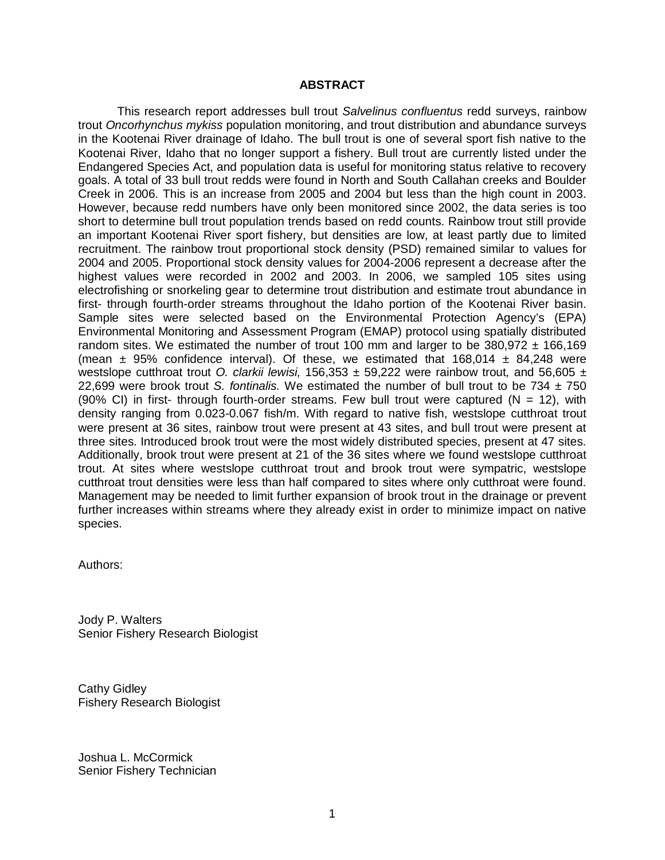#### **ABSTRACT**

<span id="page-5-0"></span>This research report addresses bull trout *Salvelinus confluentus* redd surveys, rainbow trout *Oncorhynchus mykiss* population monitoring, and trout distribution and abundance surveys in the Kootenai River drainage of Idaho. The bull trout is one of several sport fish native to the Kootenai River, Idaho that no longer support a fishery. Bull trout are currently listed under the Endangered Species Act, and population data is useful for monitoring status relative to recovery goals. A total of 33 bull trout redds were found in North and South Callahan creeks and Boulder Creek in 2006. This is an increase from 2005 and 2004 but less than the high count in 2003. However, because redd numbers have only been monitored since 2002, the data series is too short to determine bull trout population trends based on redd counts. Rainbow trout still provide an important Kootenai River sport fishery, but densities are low, at least partly due to limited recruitment. The rainbow trout proportional stock density (PSD) remained similar to values for 2004 and 2005. Proportional stock density values for 2004-2006 represent a decrease after the highest values were recorded in 2002 and 2003. In 2006, we sampled 105 sites using electrofishing or snorkeling gear to determine trout distribution and estimate trout abundance in first- through fourth-order streams throughout the Idaho portion of the Kootenai River basin. Sample sites were selected based on the Environmental Protection Agency's (EPA) Environmental Monitoring and Assessment Program (EMAP) protocol using spatially distributed random sites. We estimated the number of trout 100 mm and larger to be  $380,972 \pm 166,169$ (mean  $\pm$  95% confidence interval). Of these, we estimated that 168,014  $\pm$  84,248 were westslope cutthroat trout *O. clarkii lewisi,* 156,353 ± 59,222 were rainbow trout*,* and 56,605 ± 22,699 were brook trout *S. fontinalis.* We estimated the number of bull trout to be 734 ± 750 (90% CI) in first- through fourth-order streams. Few bull trout were captured ( $N = 12$ ), with density ranging from 0.023-0.067 fish/m. With regard to native fish, westslope cutthroat trout were present at 36 sites, rainbow trout were present at 43 sites, and bull trout were present at three sites. Introduced brook trout were the most widely distributed species, present at 47 sites. Additionally, brook trout were present at 21 of the 36 sites where we found westslope cutthroat trout. At sites where westslope cutthroat trout and brook trout were sympatric, westslope cutthroat trout densities were less than half compared to sites where only cutthroat were found. Management may be needed to limit further expansion of brook trout in the drainage or prevent further increases within streams where they already exist in order to minimize impact on native species.

Authors:

Jody P. Walters Senior Fishery Research Biologist

Cathy Gidley Fishery Research Biologist

Joshua L. McCormick Senior Fishery Technician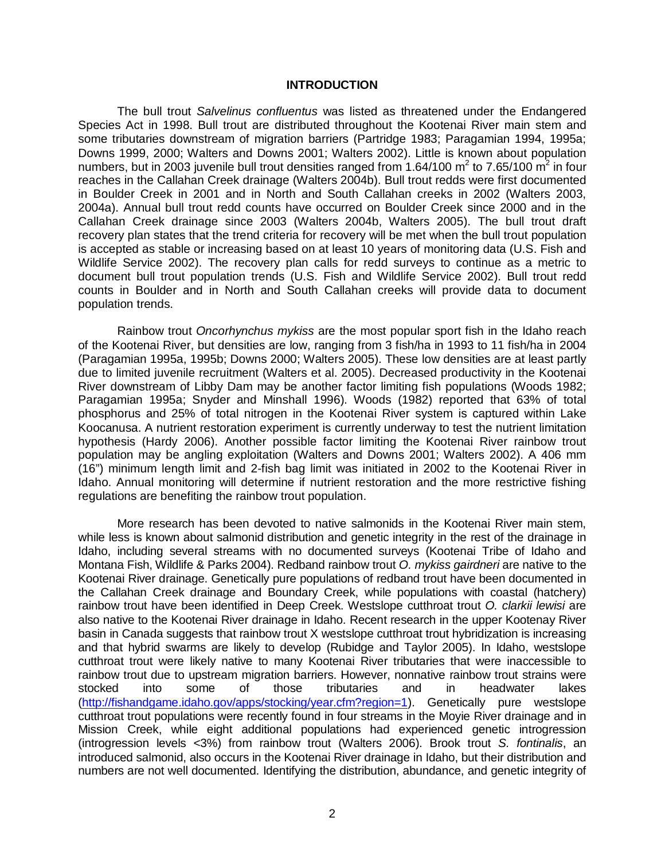#### **INTRODUCTION**

<span id="page-6-0"></span>The bull trout *Salvelinus confluentus* was listed as threatened under the Endangered Species Act in 1998. Bull trout are distributed throughout the Kootenai River main stem and some tributaries downstream of migration barriers (Partridge 1983; Paragamian 1994, 1995a; Downs 1999, 2000; Walters and Downs 2001; Walters 2002). Little is known about population numbers, but in 2003 juvenile bull trout densities ranged from 1.64/100  $m^2$  to 7.65/100  $m^2$  in four reaches in the Callahan Creek drainage (Walters 2004b). Bull trout redds were first documented in Boulder Creek in 2001 and in North and South Callahan creeks in 2002 (Walters 2003, 2004a). Annual bull trout redd counts have occurred on Boulder Creek since 2000 and in the Callahan Creek drainage since 2003 (Walters 2004b, Walters 2005). The bull trout draft recovery plan states that the trend criteria for recovery will be met when the bull trout population is accepted as stable or increasing based on at least 10 years of monitoring data (U.S. Fish and Wildlife Service 2002). The recovery plan calls for redd surveys to continue as a metric to document bull trout population trends (U.S. Fish and Wildlife Service 2002). Bull trout redd counts in Boulder and in North and South Callahan creeks will provide data to document population trends.

Rainbow trout *Oncorhynchus mykiss* are the most popular sport fish in the Idaho reach of the Kootenai River, but densities are low, ranging from 3 fish/ha in 1993 to 11 fish/ha in 2004 (Paragamian 1995a, 1995b; Downs 2000; Walters 2005). These low densities are at least partly due to limited juvenile recruitment (Walters et al. 2005). Decreased productivity in the Kootenai River downstream of Libby Dam may be another factor limiting fish populations (Woods 1982; Paragamian 1995a; Snyder and Minshall 1996). Woods (1982) reported that 63% of total phosphorus and 25% of total nitrogen in the Kootenai River system is captured within Lake Koocanusa. A nutrient restoration experiment is currently underway to test the nutrient limitation hypothesis (Hardy 2006). Another possible factor limiting the Kootenai River rainbow trout population may be angling exploitation (Walters and Downs 2001; Walters 2002). A 406 mm (16") minimum length limit and 2-fish bag limit was initiated in 2002 to the Kootenai River in Idaho. Annual monitoring will determine if nutrient restoration and the more restrictive fishing regulations are benefiting the rainbow trout population.

More research has been devoted to native salmonids in the Kootenai River main stem, while less is known about salmonid distribution and genetic integrity in the rest of the drainage in Idaho, including several streams with no documented surveys (Kootenai Tribe of Idaho and Montana Fish, Wildlife & Parks 2004). Redband rainbow trout *O. mykiss gairdneri* are native to the Kootenai River drainage. Genetically pure populations of redband trout have been documented in the Callahan Creek drainage and Boundary Creek, while populations with coastal (hatchery) rainbow trout have been identified in Deep Creek. Westslope cutthroat trout *O. clarkii lewisi* are also native to the Kootenai River drainage in Idaho. Recent research in the upper Kootenay River basin in Canada suggests that rainbow trout X westslope cutthroat trout hybridization is increasing and that hybrid swarms are likely to develop (Rubidge and Taylor 2005). In Idaho, westslope cutthroat trout were likely native to many Kootenai River tributaries that were inaccessible to rainbow trout due to upstream migration barriers. However, nonnative rainbow trout strains were stocked into some of those tributaries and in headwater lakes [\(http://fishandgame.idaho.gov/apps/stocking/year.cfm?region=1\)](http://fishandgame.idaho.gov/apps/stocking/year.cfm?region=1). Genetically pure westslope cutthroat trout populations were recently found in four streams in the Moyie River drainage and in Mission Creek, while eight additional populations had experienced genetic introgression (introgression levels <3%) from rainbow trout (Walters 2006). Brook trout *S. fontinalis*, an introduced salmonid, also occurs in the Kootenai River drainage in Idaho, but their distribution and numbers are not well documented. Identifying the distribution, abundance, and genetic integrity of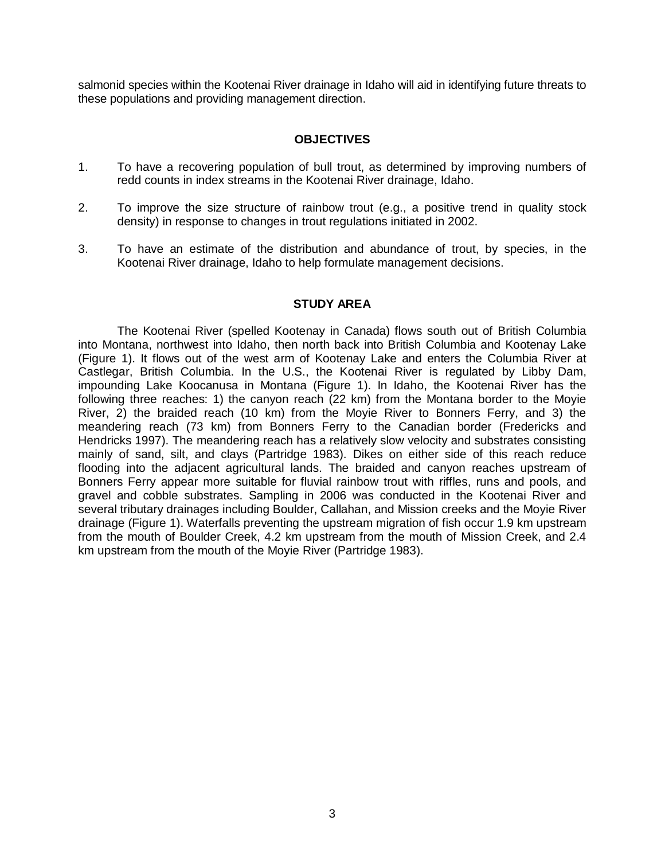salmonid species within the Kootenai River drainage in Idaho will aid in identifying future threats to these populations and providing management direction.

### **OBJECTIVES**

- <span id="page-7-0"></span>1. To have a recovering population of bull trout, as determined by improving numbers of redd counts in index streams in the Kootenai River drainage, Idaho.
- 2. To improve the size structure of rainbow trout (e.g., a positive trend in quality stock density) in response to changes in trout regulations initiated in 2002.
- 3. To have an estimate of the distribution and abundance of trout, by species, in the Kootenai River drainage, Idaho to help formulate management decisions.

### **STUDY AREA**

<span id="page-7-1"></span>The Kootenai River (spelled Kootenay in Canada) flows south out of British Columbia into Montana, northwest into Idaho, then north back into British Columbia and Kootenay Lake (Figure 1). It flows out of the west arm of Kootenay Lake and enters the Columbia River at Castlegar, British Columbia. In the U.S., the Kootenai River is regulated by Libby Dam, impounding Lake Koocanusa in Montana (Figure 1). In Idaho, the Kootenai River has the following three reaches: 1) the canyon reach (22 km) from the Montana border to the Moyie River, 2) the braided reach (10 km) from the Moyie River to Bonners Ferry, and 3) the meandering reach (73 km) from Bonners Ferry to the Canadian border (Fredericks and Hendricks 1997). The meandering reach has a relatively slow velocity and substrates consisting mainly of sand, silt, and clays (Partridge 1983). Dikes on either side of this reach reduce flooding into the adjacent agricultural lands. The braided and canyon reaches upstream of Bonners Ferry appear more suitable for fluvial rainbow trout with riffles, runs and pools, and gravel and cobble substrates. Sampling in 2006 was conducted in the Kootenai River and several tributary drainages including Boulder, Callahan, and Mission creeks and the Moyie River drainage (Figure 1). Waterfalls preventing the upstream migration of fish occur 1.9 km upstream from the mouth of Boulder Creek, 4.2 km upstream from the mouth of Mission Creek, and 2.4 km upstream from the mouth of the Moyie River (Partridge 1983).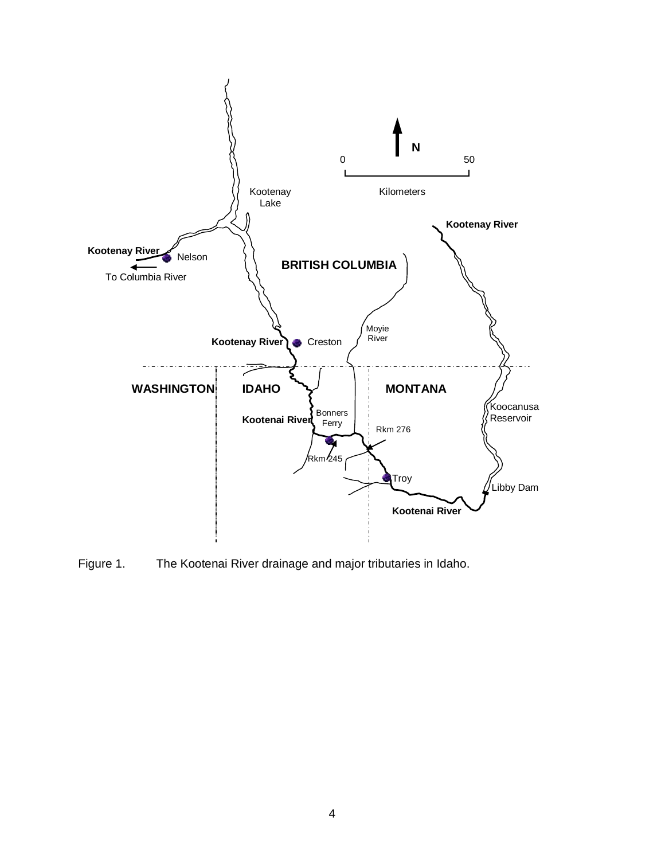

<span id="page-8-0"></span>Figure 1. The Kootenai River drainage and major tributaries in Idaho.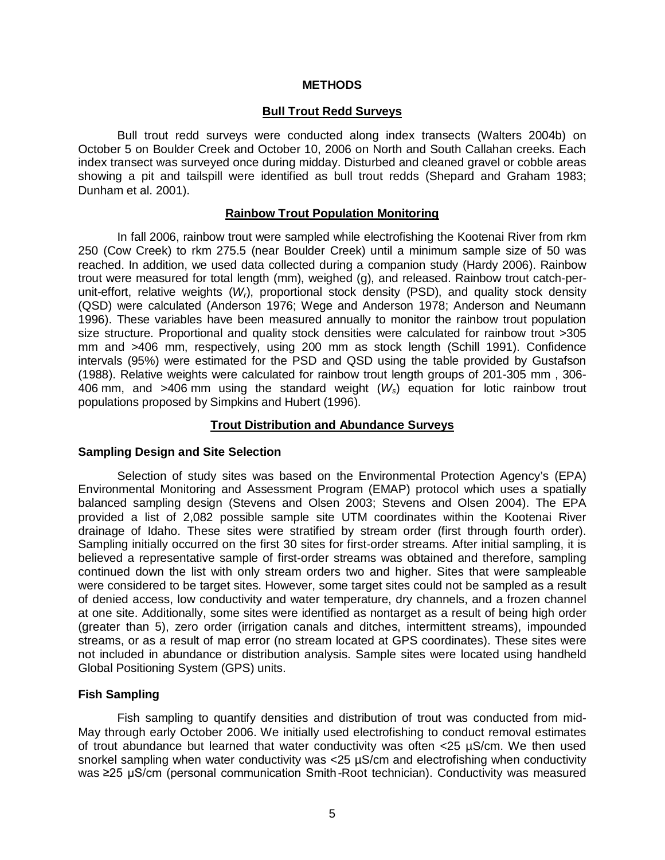#### **METHODS**

#### **Bull Trout Redd Surveys**

<span id="page-9-1"></span><span id="page-9-0"></span>Bull trout redd surveys were conducted along index transects (Walters 2004b) on October 5 on Boulder Creek and October 10, 2006 on North and South Callahan creeks. Each index transect was surveyed once during midday. Disturbed and cleaned gravel or cobble areas showing a pit and tailspill were identified as bull trout redds (Shepard and Graham 1983; Dunham et al. 2001).

#### **Rainbow Trout Population Monitoring**

<span id="page-9-2"></span>In fall 2006, rainbow trout were sampled while electrofishing the Kootenai River from rkm 250 (Cow Creek) to rkm 275.5 (near Boulder Creek) until a minimum sample size of 50 was reached. In addition, we used data collected during a companion study (Hardy 2006). Rainbow trout were measured for total length (mm), weighed (g), and released. Rainbow trout catch-perunit-effort, relative weights (*Wr*), proportional stock density (PSD), and quality stock density (QSD) were calculated (Anderson 1976; Wege and Anderson 1978; Anderson and Neumann 1996). These variables have been measured annually to monitor the rainbow trout population size structure. Proportional and quality stock densities were calculated for rainbow trout >305 mm and >406 mm, respectively, using 200 mm as stock length (Schill 1991). Confidence intervals (95%) were estimated for the PSD and QSD using the table provided by Gustafson (1988). Relative weights were calculated for rainbow trout length groups of 201-305 mm , 306- 406 mm, and >406 mm using the standard weight (*Ws*) equation for lotic rainbow trout populations proposed by Simpkins and Hubert (1996).

#### **Trout Distribution and Abundance Surveys**

### <span id="page-9-4"></span><span id="page-9-3"></span>**Sampling Design and Site Selection**

Selection of study sites was based on the Environmental Protection Agency's (EPA) Environmental Monitoring and Assessment Program (EMAP) protocol which uses a spatially balanced sampling design (Stevens and Olsen 2003; Stevens and Olsen 2004). The EPA provided a list of 2,082 possible sample site UTM coordinates within the Kootenai River drainage of Idaho. These sites were stratified by stream order (first through fourth order). Sampling initially occurred on the first 30 sites for first-order streams. After initial sampling, it is believed a representative sample of first-order streams was obtained and therefore, sampling continued down the list with only stream orders two and higher. Sites that were sampleable were considered to be target sites. However, some target sites could not be sampled as a result of denied access, low conductivity and water temperature, dry channels, and a frozen channel at one site. Additionally, some sites were identified as nontarget as a result of being high order (greater than 5), zero order (irrigation canals and ditches, intermittent streams), impounded streams, or as a result of map error (no stream located at GPS coordinates). These sites were not included in abundance or distribution analysis. Sample sites were located using handheld Global Positioning System (GPS) units.

#### <span id="page-9-5"></span>**Fish Sampling**

Fish sampling to quantify densities and distribution of trout was conducted from mid-May through early October 2006. We initially used electrofishing to conduct removal estimates of trout abundance but learned that water conductivity was often  $\lt 25$   $\mu$ S/cm. We then used snorkel sampling when water conductivity was <25 µS/cm and electrofishing when conductivity was ≥25 µS/cm (personal communication Smith-Root technician). Conductivity was measured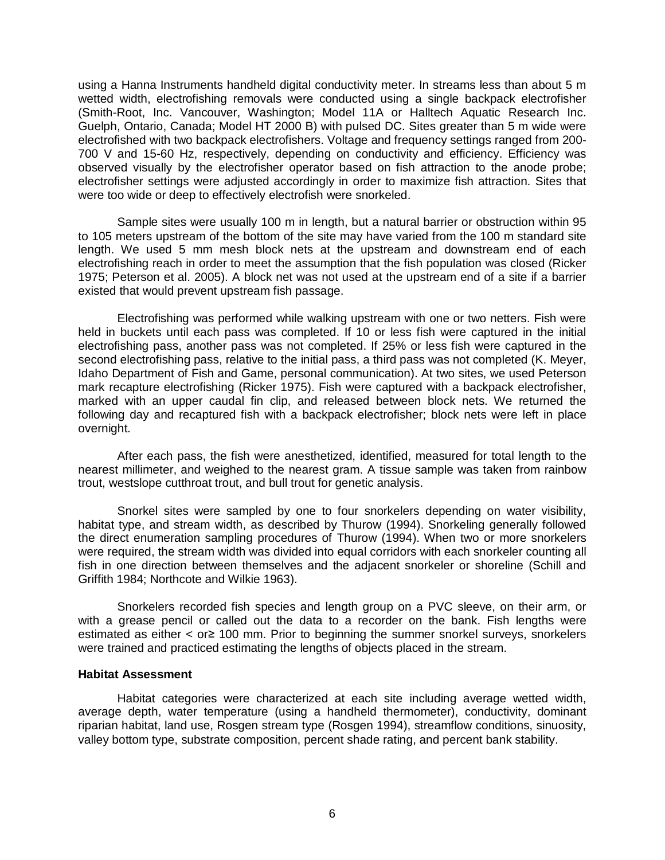using a Hanna Instruments handheld digital conductivity meter. In streams less than about 5 m wetted width, electrofishing removals were conducted using a single backpack electrofisher (Smith-Root, Inc. Vancouver, Washington; Model 11A or Halltech Aquatic Research Inc. Guelph, Ontario, Canada; Model HT 2000 B) with pulsed DC. Sites greater than 5 m wide were electrofished with two backpack electrofishers. Voltage and frequency settings ranged from 200- 700 V and 15-60 Hz, respectively, depending on conductivity and efficiency. Efficiency was observed visually by the electrofisher operator based on fish attraction to the anode probe; electrofisher settings were adjusted accordingly in order to maximize fish attraction. Sites that were too wide or deep to effectively electrofish were snorkeled.

Sample sites were usually 100 m in length, but a natural barrier or obstruction within 95 to 105 meters upstream of the bottom of the site may have varied from the 100 m standard site length. We used 5 mm mesh block nets at the upstream and downstream end of each electrofishing reach in order to meet the assumption that the fish population was closed (Ricker 1975; Peterson et al. 2005). A block net was not used at the upstream end of a site if a barrier existed that would prevent upstream fish passage.

Electrofishing was performed while walking upstream with one or two netters. Fish were held in buckets until each pass was completed. If 10 or less fish were captured in the initial electrofishing pass, another pass was not completed. If 25% or less fish were captured in the second electrofishing pass, relative to the initial pass, a third pass was not completed (K. Meyer, Idaho Department of Fish and Game, personal communication). At two sites, we used Peterson mark recapture electrofishing (Ricker 1975). Fish were captured with a backpack electrofisher, marked with an upper caudal fin clip, and released between block nets. We returned the following day and recaptured fish with a backpack electrofisher; block nets were left in place overnight.

After each pass, the fish were anesthetized, identified, measured for total length to the nearest millimeter, and weighed to the nearest gram. A tissue sample was taken from rainbow trout, westslope cutthroat trout, and bull trout for genetic analysis.

Snorkel sites were sampled by one to four snorkelers depending on water visibility, habitat type, and stream width, as described by Thurow (1994). Snorkeling generally followed the direct enumeration sampling procedures of Thurow (1994). When two or more snorkelers were required, the stream width was divided into equal corridors with each snorkeler counting all fish in one direction between themselves and the adjacent snorkeler or shoreline (Schill and Griffith 1984; Northcote and Wilkie 1963).

Snorkelers recorded fish species and length group on a PVC sleeve, on their arm, or with a grease pencil or called out the data to a recorder on the bank. Fish lengths were estimated as either  $\lt$  or  $\ge$  100 mm. Prior to beginning the summer snorkel surveys, snorkelers were trained and practiced estimating the lengths of objects placed in the stream.

#### <span id="page-10-0"></span>**Habitat Assessment**

Habitat categories were characterized at each site including average wetted width, average depth, water temperature (using a handheld thermometer), conductivity, dominant riparian habitat, land use, Rosgen stream type (Rosgen 1994), streamflow conditions, sinuosity, valley bottom type, substrate composition, percent shade rating, and percent bank stability.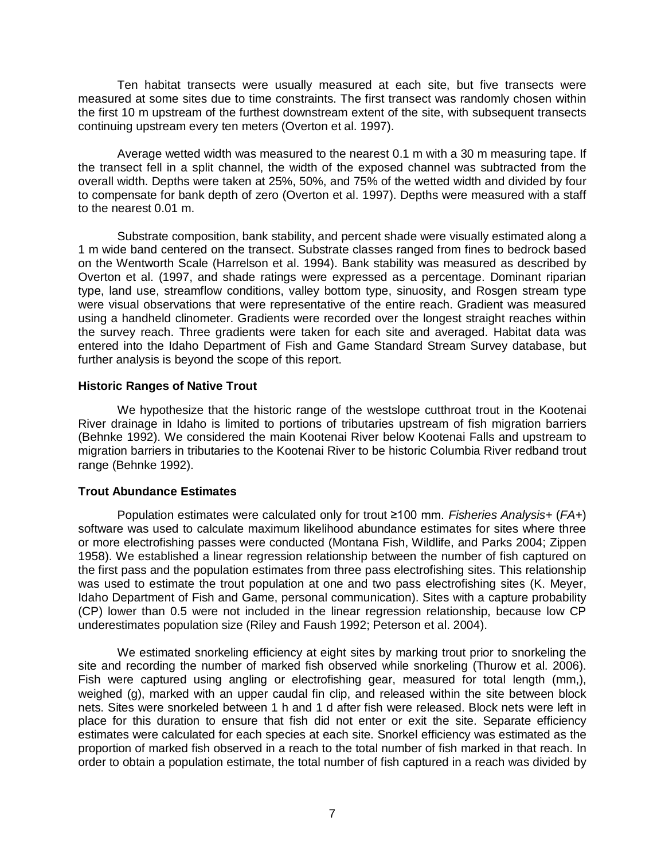Ten habitat transects were usually measured at each site, but five transects were measured at some sites due to time constraints. The first transect was randomly chosen within the first 10 m upstream of the furthest downstream extent of the site, with subsequent transects continuing upstream every ten meters (Overton et al. 1997).

Average wetted width was measured to the nearest 0.1 m with a 30 m measuring tape. If the transect fell in a split channel, the width of the exposed channel was subtracted from the overall width. Depths were taken at 25%, 50%, and 75% of the wetted width and divided by four to compensate for bank depth of zero (Overton et al. 1997). Depths were measured with a staff to the nearest 0.01 m.

Substrate composition, bank stability, and percent shade were visually estimated along a 1 m wide band centered on the transect. Substrate classes ranged from fines to bedrock based on the Wentworth Scale (Harrelson et al. 1994). Bank stability was measured as described by Overton et al. (1997, and shade ratings were expressed as a percentage. Dominant riparian type, land use, streamflow conditions, valley bottom type, sinuosity, and Rosgen stream type were visual observations that were representative of the entire reach. Gradient was measured using a handheld clinometer. Gradients were recorded over the longest straight reaches within the survey reach. Three gradients were taken for each site and averaged. Habitat data was entered into the Idaho Department of Fish and Game Standard Stream Survey database, but further analysis is beyond the scope of this report.

#### <span id="page-11-0"></span>**Historic Ranges of Native Trout**

We hypothesize that the historic range of the westslope cutthroat trout in the Kootenai River drainage in Idaho is limited to portions of tributaries upstream of fish migration barriers (Behnke 1992). We considered the main Kootenai River below Kootenai Falls and upstream to migration barriers in tributaries to the Kootenai River to be historic Columbia River redband trout range (Behnke 1992).

### <span id="page-11-1"></span>**Trout Abundance Estimates**

Population estimates were calculated only for trout ≥100 mm. *Fisheries Analysis+* (*FA+*) software was used to calculate maximum likelihood abundance estimates for sites where three or more electrofishing passes were conducted (Montana Fish, Wildlife, and Parks 2004; Zippen 1958). We established a linear regression relationship between the number of fish captured on the first pass and the population estimates from three pass electrofishing sites. This relationship was used to estimate the trout population at one and two pass electrofishing sites (K. Meyer, Idaho Department of Fish and Game, personal communication). Sites with a capture probability (CP) lower than 0.5 were not included in the linear regression relationship, because low CP underestimates population size (Riley and Faush 1992; Peterson et al. 2004).

We estimated snorkeling efficiency at eight sites by marking trout prior to snorkeling the site and recording the number of marked fish observed while snorkeling (Thurow et al. 2006). Fish were captured using angling or electrofishing gear, measured for total length (mm,), weighed (g), marked with an upper caudal fin clip, and released within the site between block nets. Sites were snorkeled between 1 h and 1 d after fish were released. Block nets were left in place for this duration to ensure that fish did not enter or exit the site. Separate efficiency estimates were calculated for each species at each site. Snorkel efficiency was estimated as the proportion of marked fish observed in a reach to the total number of fish marked in that reach. In order to obtain a population estimate, the total number of fish captured in a reach was divided by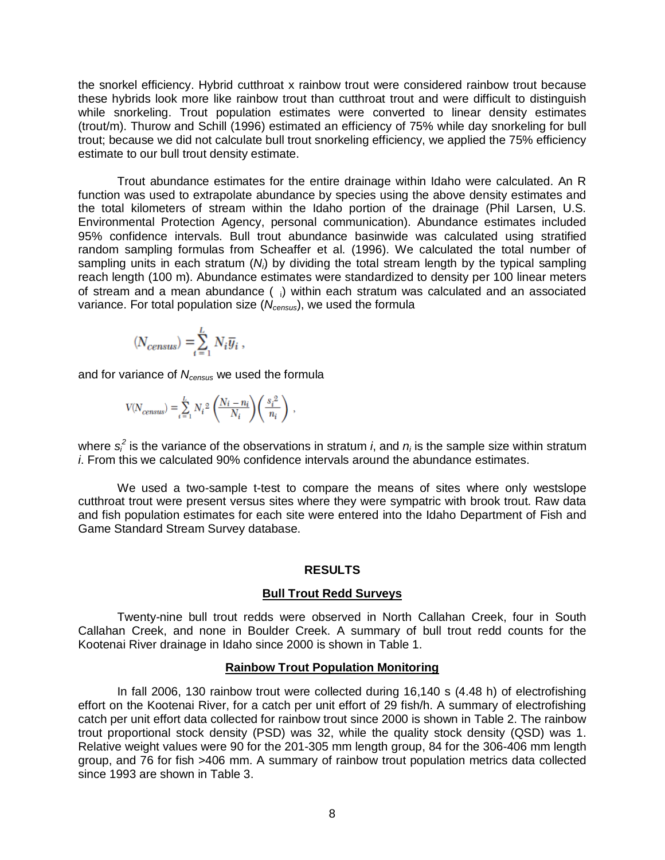the snorkel efficiency. Hybrid cutthroat x rainbow trout were considered rainbow trout because these hybrids look more like rainbow trout than cutthroat trout and were difficult to distinguish while snorkeling. Trout population estimates were converted to linear density estimates (trout/m). Thurow and Schill (1996) estimated an efficiency of 75% while day snorkeling for bull trout; because we did not calculate bull trout snorkeling efficiency, we applied the 75% efficiency estimate to our bull trout density estimate.

Trout abundance estimates for the entire drainage within Idaho were calculated. An R function was used to extrapolate abundance by species using the above density estimates and the total kilometers of stream within the Idaho portion of the drainage (Phil Larsen, U.S. Environmental Protection Agency, personal communication). Abundance estimates included 95% confidence intervals. Bull trout abundance basinwide was calculated using stratified random sampling formulas from Scheaffer et al. (1996). We calculated the total number of sampling units in each stratum (*Ni*) by dividing the total stream length by the typical sampling reach length (100 m). Abundance estimates were standardized to density per 100 linear meters of stream and a mean abundance ( i) within each stratum was calculated and an associated variance. For total population size (*Ncensus*), we used the formula

$$
(N_{census}) = \sum_{i=1}^{L} N_i \overline{y}_i ,
$$

and for variance of *Ncensus* we used the formula

$$
V\!(\!N_{census}) = \sum_{i=1}^{L} N_i{}^2 \left(\!\frac{N_i-n_i}{N_i}\!\right)\!\left(\frac{s_i{}^2}{n_i}\right) \,, \label{eq:V_Ncensus}
$$

where  $s_i^2$  is the variance of the observations in stratum *i*, and  $n_i$  is the sample size within stratum *i*. From this we calculated 90% confidence intervals around the abundance estimates.

We used a two-sample t-test to compare the means of sites where only westslope cutthroat trout were present versus sites where they were sympatric with brook trout. Raw data and fish population estimates for each site were entered into the Idaho Department of Fish and Game Standard Stream Survey database.

#### **RESULTS**

#### **Bull Trout Redd Surveys**

<span id="page-12-1"></span><span id="page-12-0"></span>Twenty-nine bull trout redds were observed in North Callahan Creek, four in South Callahan Creek, and none in Boulder Creek. A summary of bull trout redd counts for the Kootenai River drainage in Idaho since 2000 is shown in Table 1.

#### **Rainbow Trout Population Monitoring**

<span id="page-12-2"></span>In fall 2006, 130 rainbow trout were collected during 16,140 s (4.48 h) of electrofishing effort on the Kootenai River, for a catch per unit effort of 29 fish/h. A summary of electrofishing catch per unit effort data collected for rainbow trout since 2000 is shown in Table 2. The rainbow trout proportional stock density (PSD) was 32, while the quality stock density (QSD) was 1. Relative weight values were 90 for the 201-305 mm length group, 84 for the 306-406 mm length group, and 76 for fish >406 mm. A summary of rainbow trout population metrics data collected since 1993 are shown in Table 3.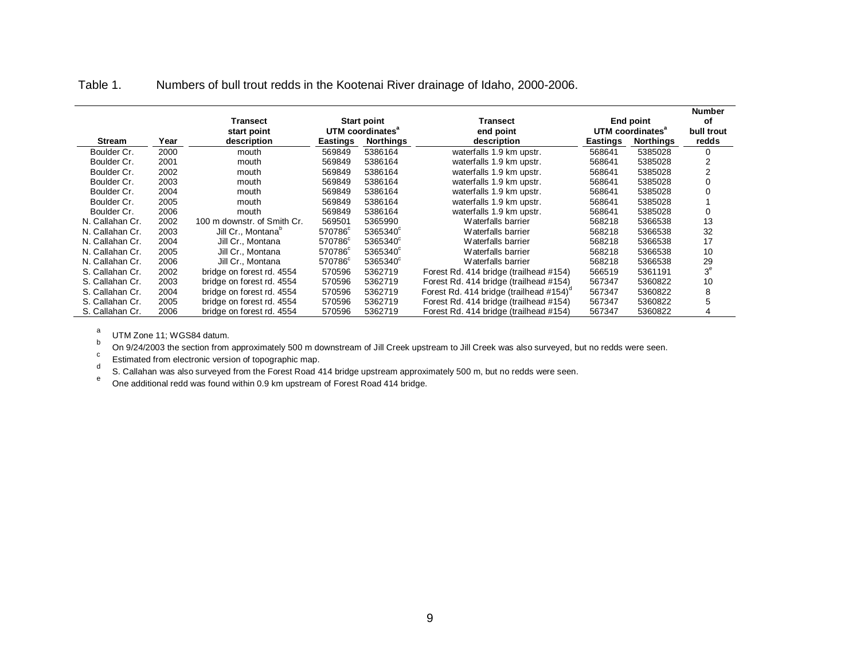Table 1. Numbers of bull trout redds in the Kootenai River drainage of Idaho, 2000-2006.

|                 |      |                                |                     |                              |                                        |          |                              | <b>Number</b>  |
|-----------------|------|--------------------------------|---------------------|------------------------------|----------------------------------------|----------|------------------------------|----------------|
|                 |      | Transect                       |                     | <b>Start point</b>           | Transect                               |          | End point                    | οf             |
|                 |      | start point                    |                     | UTM coordinates <sup>a</sup> | end point                              |          | UTM coordinates <sup>a</sup> | bull trout     |
| <b>Stream</b>   | Year | description                    | <b>Eastings</b>     | <b>Northings</b>             | description                            | Eastings | <b>Northings</b>             | redds          |
| Boulder Cr.     | 2000 | mouth                          | 569849              | 5386164                      | waterfalls 1.9 km upstr.               | 568641   | 5385028                      | 0              |
| Boulder Cr.     | 2001 | mouth                          | 569849              | 5386164                      | waterfalls 1.9 km upstr.               | 568641   | 5385028                      | $\overline{2}$ |
| Boulder Cr.     | 2002 | mouth                          | 569849              | 5386164                      | waterfalls 1.9 km upstr.               | 568641   | 5385028                      | 2              |
| Boulder Cr.     | 2003 | mouth                          | 569849              | 5386164                      | waterfalls 1.9 km upstr.               | 568641   | 5385028                      | 0              |
| Boulder Cr.     | 2004 | mouth                          | 569849              | 5386164                      | waterfalls 1.9 km upstr.               | 568641   | 5385028                      |                |
| Boulder Cr.     | 2005 | mouth                          | 569849              | 5386164                      | waterfalls 1.9 km upstr.               | 568641   | 5385028                      |                |
| Boulder Cr.     | 2006 | mouth                          | 569849              | 5386164                      | waterfalls 1.9 km upstr.               | 568641   | 5385028                      | 0              |
| N. Callahan Cr. | 2002 | 100 m downstr. of Smith Cr.    | 569501              | 5365990                      | Waterfalls barrier                     | 568218   | 5366538                      | 13             |
| N. Callahan Cr. | 2003 | Jill Cr., Montana <sup>p</sup> | 570786 <sup>c</sup> | 5365340°                     | Waterfalls barrier                     | 568218   | 5366538                      | 32             |
| N. Callahan Cr. | 2004 | Jill Cr., Montana              | 570786°             | 5365340°                     | Waterfalls barrier                     | 568218   | 5366538                      | 17             |
| N. Callahan Cr. | 2005 | Jill Cr., Montana              | 570786°             | 5365340°                     | Waterfalls barrier                     | 568218   | 5366538                      | 10             |
| N. Callahan Cr. | 2006 | Jill Cr., Montana              | 570786 <sup>c</sup> | 5365340°                     | Waterfalls barrier                     | 568218   | 5366538                      | 29             |
| S. Callahan Cr. | 2002 | bridge on forest rd. 4554      | 570596              | 5362719                      | Forest Rd. 414 bridge (trailhead #154) | 566519   | 5361191                      | 3 <sup>e</sup> |
| S. Callahan Cr. | 2003 | bridge on forest rd. 4554      | 570596              | 5362719                      | Forest Rd. 414 bridge (trailhead #154) | 567347   | 5360822                      | 10             |
| S. Callahan Cr. | 2004 | bridge on forest rd. 4554      | 570596              | 5362719                      | Forest Rd. 414 bridge (trailhead #154) | 567347   | 5360822                      | 8              |
| S. Callahan Cr. | 2005 | bridge on forest rd. 4554      | 570596              | 5362719                      | Forest Rd. 414 bridge (trailhead #154) | 567347   | 5360822                      | 5              |
| S. Callahan Cr. | 2006 | bridge on forest rd. 4554      | 570596              | 5362719                      | Forest Rd. 414 bridge (trailhead #154) | 567347   | 5360822                      | 4              |

<span id="page-13-0"></span><sup>a</sup> UTM Zone 11; WGS84 datum.<br><sup>b</sup> On 9/24/2003 the section from approximately 500 m downstream of Jill Creek upstream to Jill Creek was also surveyed, but no redds were seen.

Estimated from electronic version of topographic map.<br>
S. Callahan was also surveyed from the Forest Road 414 bridge upstream approximately 500 m, but no redds were seen.<br>
One additional redd was found within 0.9 km upstre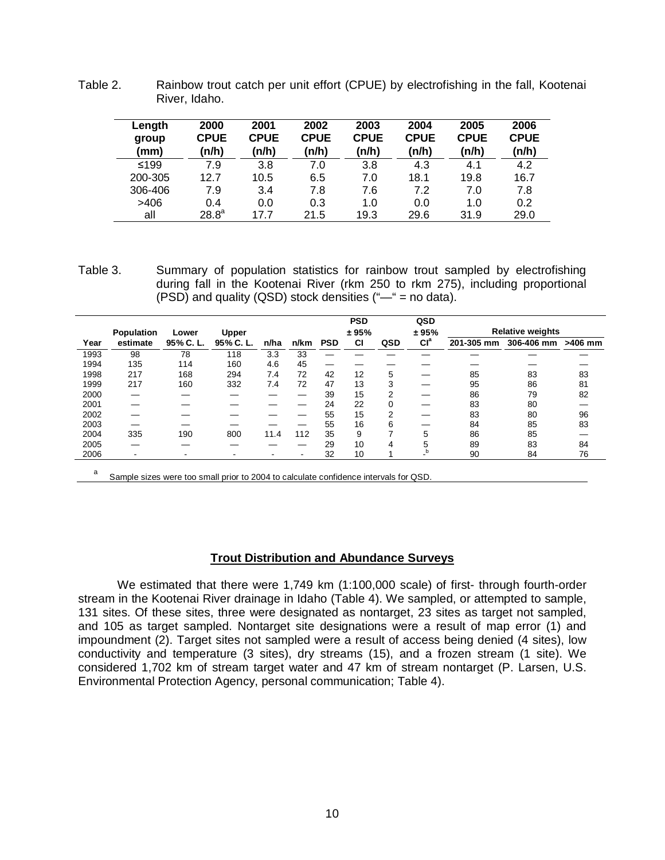| Length<br>group<br>(mm) | 2000<br><b>CPUE</b><br>(n/h) | 2001<br><b>CPUE</b><br>(n/h) | 2002<br><b>CPUE</b><br>n/h) | 2003<br><b>CPUE</b><br>(n/h) | 2004<br><b>CPUE</b><br>(n/h) | 2005<br><b>CPUE</b><br>(n/h) | 2006<br><b>CPUE</b><br>(n/h) |
|-------------------------|------------------------------|------------------------------|-----------------------------|------------------------------|------------------------------|------------------------------|------------------------------|
| $≤199$                  | 7.9                          | 3.8                          | 7.0                         | 3.8                          | 4.3                          | 4.1                          | 4.2                          |
| 200-305                 | 12.7                         | 10.5                         | 6.5                         | 7.0                          | 18.1                         | 19.8                         | 16.7                         |
| 306-406                 | 7.9                          | 3.4                          | 7.8                         | 7.6                          | 7.2                          | 7.0                          | 7.8                          |
| >406                    | 0.4                          | 0.0                          | 0.3                         | 1.0                          | 0.0                          | 1.0                          | 0.2                          |
| all                     | $28.8^a$                     | 17.7                         | 21.5                        | 19.3                         | 29.6                         | 31.9                         | 29.0                         |

<span id="page-14-1"></span>Table 2. Rainbow trout catch per unit effort (CPUE) by electrofishing in the fall, Kootenai River, Idaho.

<span id="page-14-2"></span>Table 3. Summary of population statistics for rainbow trout sampled by electrofishing during fall in the Kootenai River (rkm 250 to rkm 275), including proportional (PSD) and quality (QSD) stock densities  $("—" = no data).$ 

|        |                          |          |                |      |      |            | <b>PSD</b> |     | QSD             |            |                         |           |
|--------|--------------------------|----------|----------------|------|------|------------|------------|-----|-----------------|------------|-------------------------|-----------|
|        | Population               | Lower    | <b>Upper</b>   |      |      |            | ± 95%      |     | ± 95%           |            | <b>Relative weights</b> |           |
| Year   | estimate                 | 95% C.L. | 95% C.L.       | n/ha | n/km | <b>PSD</b> | <b>CI</b>  | QSD | Cl <sup>a</sup> | 201-305 mm | 306-406 mm              | $>406$ mm |
| 1993   | 98                       | 78       | 118            | 3.3  | 33   |            |            |     |                 |            |                         |           |
| 1994   | 135                      | 114      | 160            | 4.6  | 45   |            |            |     |                 |            |                         |           |
| 1998   | 217                      | 168      | 294            | 7.4  | 72   | 42         | 12         | 5   | _               | 85         | 83                      | 83        |
| 1999   | 217                      | 160      | 332            | 7.4  | 72   | 47         | 13         | 3   |                 | 95         | 86                      | 81        |
| 2000   |                          |          |                |      |      | 39         | 15         | 2   |                 | 86         | 79                      | 82        |
| 2001   |                          |          |                |      |      | 24         | 22         | 0   |                 | 83         | 80                      |           |
| 2002   |                          |          |                |      |      | 55         | 15         | 2   |                 | 83         | 80                      | 96        |
| 2003   |                          |          |                |      |      | 55         | 16         | 6   |                 | 84         | 85                      | 83        |
| 2004   | 335                      | 190      | 800            | 11.4 | 112  | 35         | 9          |     | 5               | 86         | 85                      |           |
| 2005   |                          |          |                |      |      | 29         | 10         | 4   | 5               | 89         | 83                      | 84        |
| 2006   | $\overline{\phantom{a}}$ | ۰        | $\blacksquare$ | -    |      | 32         | 10         |     |                 | 90         | 84                      | 76        |
| $\sim$ |                          |          |                |      |      |            |            |     |                 |            |                         |           |

<sup>a</sup> Sample sizes were too small prior to 2004 to calculate confidence intervals for QSD.

#### **Trout Distribution and Abundance Surveys**

<span id="page-14-0"></span>We estimated that there were 1,749 km (1:100,000 scale) of first- through fourth-order stream in the Kootenai River drainage in Idaho (Table 4). We sampled, or attempted to sample, 131 sites. Of these sites, three were designated as nontarget, 23 sites as target not sampled, and 105 as target sampled. Nontarget site designations were a result of map error (1) and impoundment (2). Target sites not sampled were a result of access being denied (4 sites), low conductivity and temperature (3 sites), dry streams (15), and a frozen stream (1 site). We considered 1,702 km of stream target water and 47 km of stream nontarget (P. Larsen, U.S. Environmental Protection Agency, personal communication; Table 4).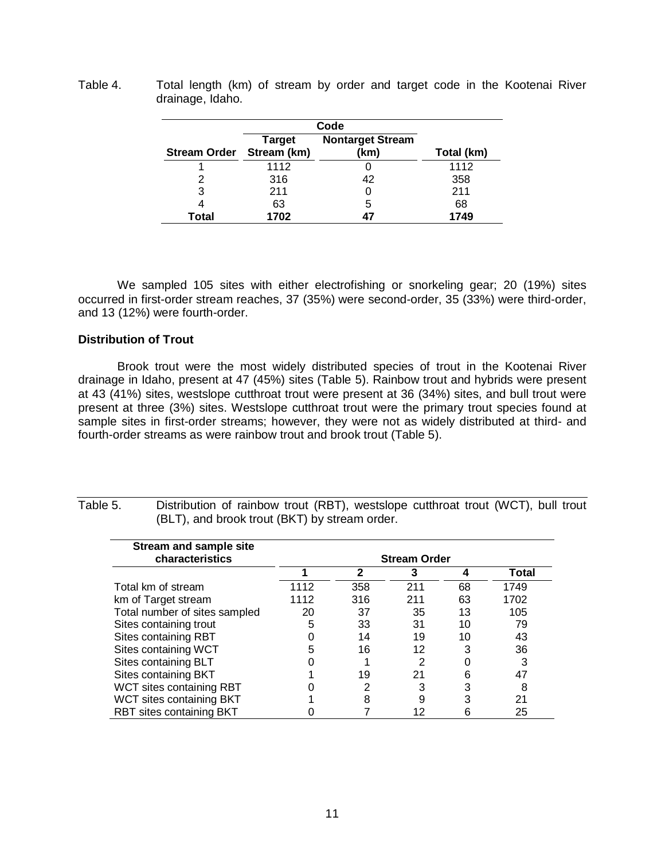| <b>Stream Order</b> | <b>Target</b><br>Stream (km) | <b>Nontarget Stream</b><br>(km) | Total (km) |
|---------------------|------------------------------|---------------------------------|------------|
|                     | 1112                         |                                 | 1112       |
| 2                   | 316                          | 42                              | 358        |
| 3                   | 211                          |                                 | 211        |
|                     | 63                           | 5                               | 68         |
| Total               | 1702                         |                                 | 1749       |

<span id="page-15-1"></span>Table 4. Total length (km) of stream by order and target code in the Kootenai River drainage, Idaho.

We sampled 105 sites with either electrofishing or snorkeling gear; 20 (19%) sites occurred in first-order stream reaches, 37 (35%) were second-order, 35 (33%) were third-order, and 13 (12%) were fourth-order.

#### <span id="page-15-0"></span>**Distribution of Trout**

Brook trout were the most widely distributed species of trout in the Kootenai River drainage in Idaho, present at 47 (45%) sites (Table 5). Rainbow trout and hybrids were present at 43 (41%) sites, westslope cutthroat trout were present at 36 (34%) sites, and bull trout were present at three (3%) sites. Westslope cutthroat trout were the primary trout species found at sample sites in first-order streams; however, they were not as widely distributed at third- and fourth-order streams as were rainbow trout and brook trout (Table 5).

| characteristics               | <b>Stream Order</b> |     |     |    |       |  |  |  |
|-------------------------------|---------------------|-----|-----|----|-------|--|--|--|
|                               |                     | 2   | 3   | 4  | Total |  |  |  |
| Total km of stream            | 1112                | 358 | 211 | 68 | 1749  |  |  |  |
| km of Target stream           | 1112                | 316 | 211 | 63 | 1702  |  |  |  |
| Total number of sites sampled | 20                  | 37  | 35  | 13 | 105   |  |  |  |
| Sites containing trout        | 5                   | 33  | 31  | 10 | 79    |  |  |  |
| Sites containing RBT          |                     | 14  | 19  | 10 | 43    |  |  |  |
| Sites containing WCT          | 5                   | 16  | 12  | 3  | 36    |  |  |  |
| Sites containing BLT          |                     |     | 2   |    | 3     |  |  |  |
| Sites containing BKT          |                     | 19  | 21  | 6  | 47    |  |  |  |
| WCT sites containing RBT      |                     | 2   | 3   | 3  | 8     |  |  |  |
| WCT sites containing BKT      |                     | 8   | 9   | 3  | 21    |  |  |  |
| RBT sites containing BKT      |                     |     | 12  | 6  | 25    |  |  |  |

<span id="page-15-2"></span>Table 5. Distribution of rainbow trout (RBT), westslope cutthroat trout (WCT), bull trout (BLT), and brook trout (BKT) by stream order.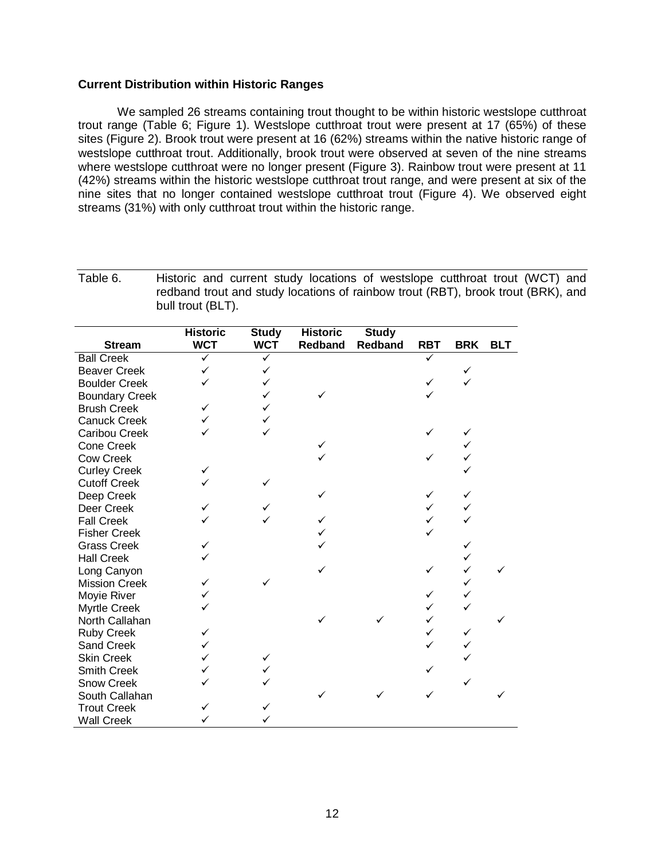#### <span id="page-16-0"></span>**Current Distribution within Historic Ranges**

We sampled 26 streams containing trout thought to be within historic westslope cutthroat trout range (Table 6; Figure 1). Westslope cutthroat trout were present at 17 (65%) of these sites (Figure 2). Brook trout were present at 16 (62%) streams within the native historic range of westslope cutthroat trout. Additionally, brook trout were observed at seven of the nine streams where westslope cutthroat were no longer present (Figure 3). Rainbow trout were present at 11 (42%) streams within the historic westslope cutthroat trout range, and were present at six of the nine sites that no longer contained westslope cutthroat trout (Figure 4). We observed eight streams (31%) with only cutthroat trout within the historic range.

<span id="page-16-1"></span>Table 6. Historic and current study locations of westslope cutthroat trout (WCT) and redband trout and study locations of rainbow trout (RBT), brook trout (BRK), and bull trout (BLT).

|                       | <b>Historic</b> | <b>Study</b> | <b>Historic</b> | <b>Study</b> |            |            |            |
|-----------------------|-----------------|--------------|-----------------|--------------|------------|------------|------------|
| <b>Stream</b>         | <b>WCT</b>      | <b>WCT</b>   | <b>Redband</b>  | Redband      | <b>RBT</b> | <b>BRK</b> | <b>BLT</b> |
| <b>Ball Creek</b>     | $\checkmark$    | ✓            |                 |              |            |            |            |
| <b>Beaver Creek</b>   | ✓               | ✓            |                 |              |            | ✓          |            |
| <b>Boulder Creek</b>  |                 | $\checkmark$ |                 |              |            |            |            |
| <b>Boundary Creek</b> |                 | $\checkmark$ |                 |              |            |            |            |
| <b>Brush Creek</b>    | ✓               | $\checkmark$ |                 |              |            |            |            |
| <b>Canuck Creek</b>   | ✓               | ✓            |                 |              |            |            |            |
| Caribou Creek         |                 | ✓            |                 |              |            |            |            |
| <b>Cone Creek</b>     |                 |              |                 |              |            |            |            |
| <b>Cow Creek</b>      |                 |              |                 |              |            | ✓          |            |
| <b>Curley Creek</b>   | ✓               |              |                 |              |            |            |            |
| <b>Cutoff Creek</b>   |                 |              |                 |              |            |            |            |
| Deep Creek            |                 |              |                 |              |            | ✓          |            |
| Deer Creek            |                 |              |                 |              |            | ✓          |            |
| <b>Fall Creek</b>     |                 |              |                 |              |            |            |            |
| <b>Fisher Creek</b>   |                 |              |                 |              |            |            |            |
| <b>Grass Creek</b>    | ✓               |              |                 |              |            | ✓          |            |
| <b>Hall Creek</b>     |                 |              |                 |              |            | ✓          |            |
| Long Canyon           |                 |              |                 |              |            | ✓          |            |
| <b>Mission Creek</b>  | ✓               |              |                 |              |            | ✓          |            |
| Moyie River           |                 |              |                 |              |            | ✓          |            |
| Myrtle Creek          |                 |              |                 |              |            |            |            |
| North Callahan        |                 |              |                 |              | ✓          |            |            |
| <b>Ruby Creek</b>     | ✓               |              |                 |              |            | ✓          |            |
| Sand Creek            | ✓               |              |                 |              |            | ✓          |            |
| <b>Skin Creek</b>     | ✓               | ✓            |                 |              |            |            |            |
| <b>Smith Creek</b>    | ✓               | ✓            |                 |              |            |            |            |
| <b>Snow Creek</b>     |                 |              |                 |              |            |            |            |
| South Callahan        |                 |              |                 |              |            |            |            |
| <b>Trout Creek</b>    | ✓               |              |                 |              |            |            |            |
| <b>Wall Creek</b>     |                 | ✓            |                 |              |            |            |            |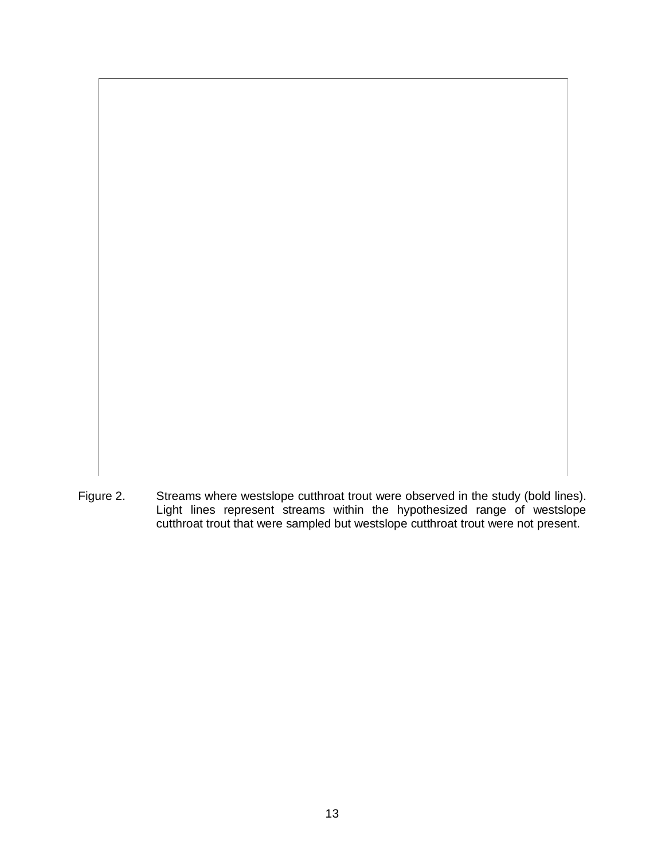<span id="page-17-0"></span>Figure 2. Streams where westslope cutthroat trout were observed in the study (bold lines). Light lines represent streams within the hypothesized range of westslope cutthroat trout that were sampled but westslope cutthroat trout were not present.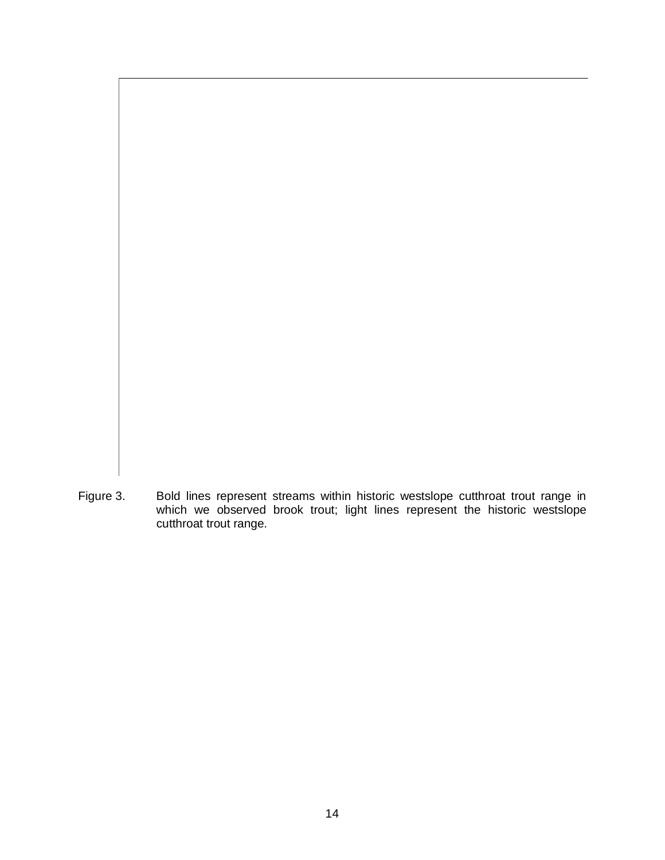<span id="page-18-0"></span>Figure 3. Bold lines represent streams within historic westslope cutthroat trout range in which we observed brook trout; light lines represent the historic westslope cutthroat trout range.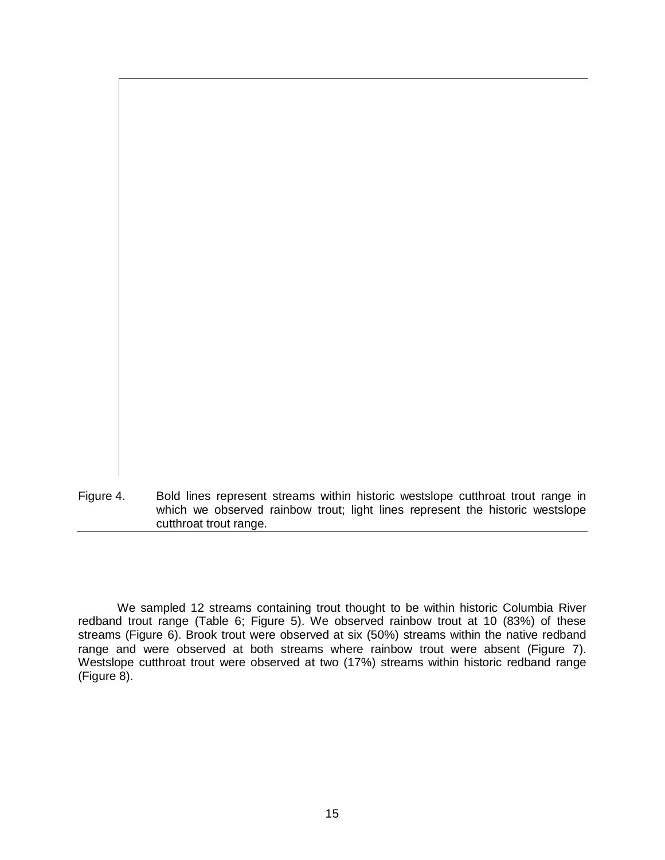<span id="page-19-0"></span>Figure 4. Bold lines represent streams within historic westslope cutthroat trout range in which we observed rainbow trout; light lines represent the historic westslope cutthroat trout range.

We sampled 12 streams containing trout thought to be within historic Columbia River redband trout range (Table 6; Figure 5). We observed rainbow trout at 10 (83%) of these streams (Figure 6). Brook trout were observed at six (50%) streams within the native redband range and were observed at both streams where rainbow trout were absent (Figure 7). Westslope cutthroat trout were observed at two (17%) streams within historic redband range (Figure 8).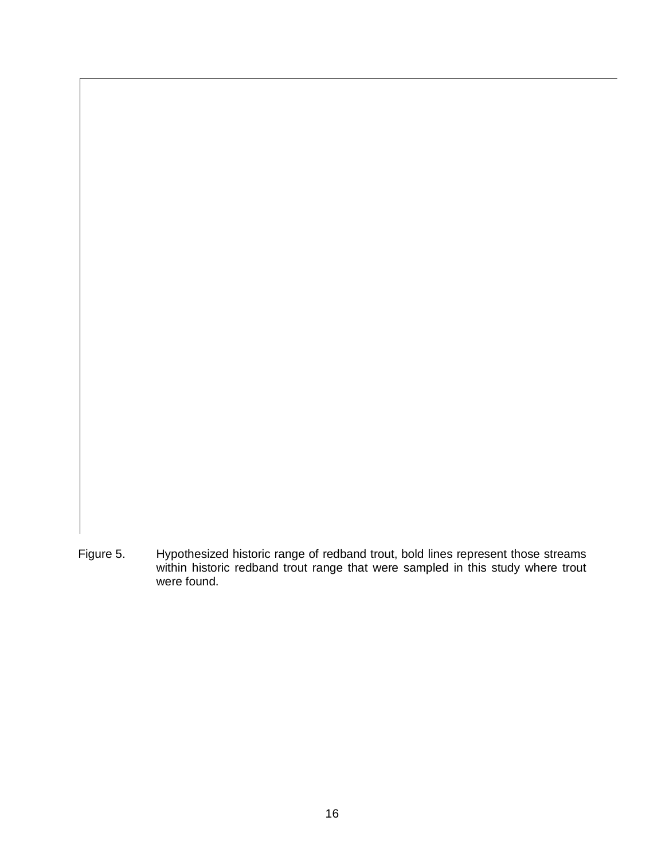<span id="page-20-0"></span>Figure 5. Hypothesized historic range of redband trout, bold lines represent those streams within historic redband trout range that were sampled in this study where trout were found.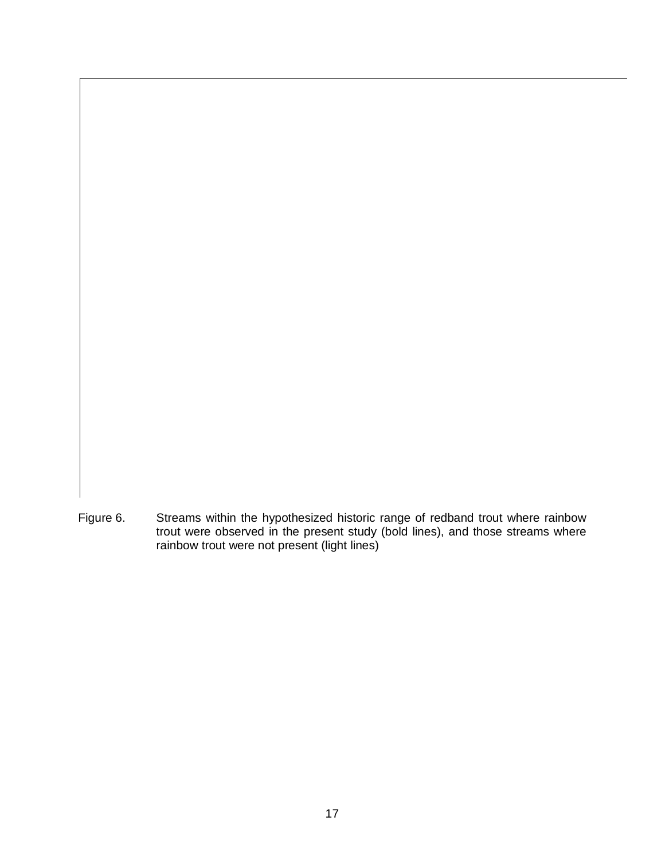<span id="page-21-0"></span>Figure 6. Streams within the hypothesized historic range of redband trout where rainbow trout were observed in the present study (bold lines), and those streams where rainbow trout were not present (light lines)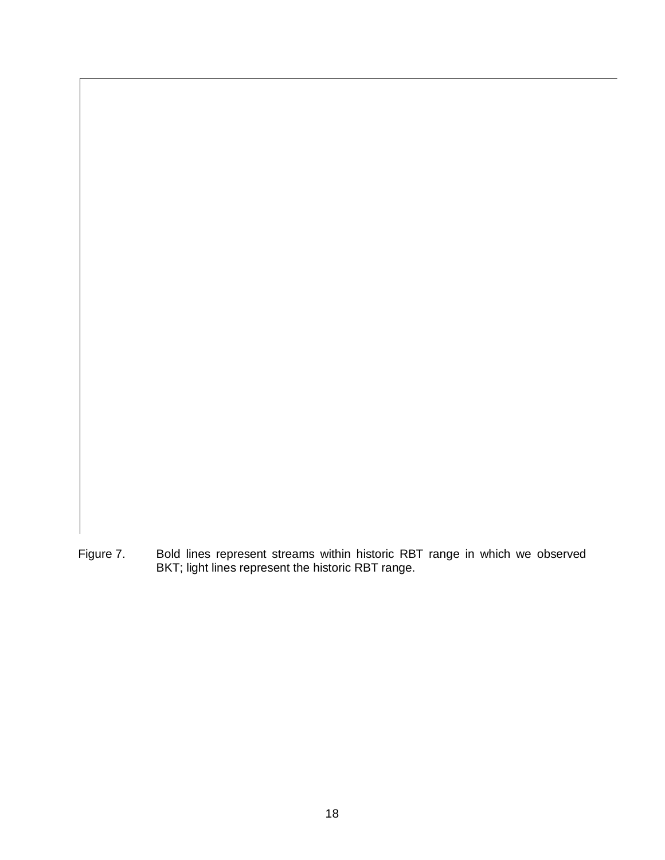<span id="page-22-0"></span>Figure 7. Bold lines represent streams within historic RBT range in which we observed BKT; light lines represent the historic RBT range.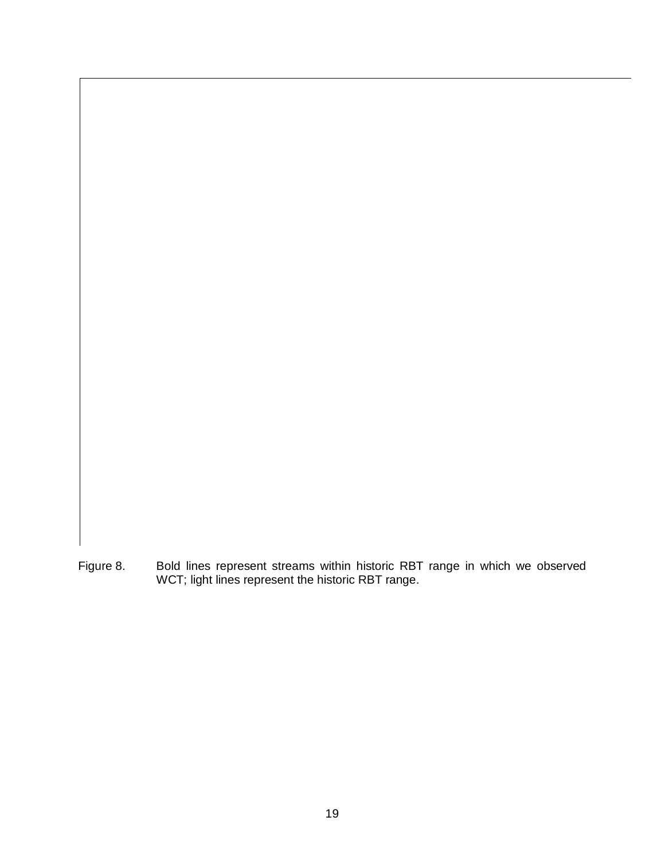<span id="page-23-0"></span>Figure 8. Bold lines represent streams within historic RBT range in which we observed WCT; light lines represent the historic RBT range.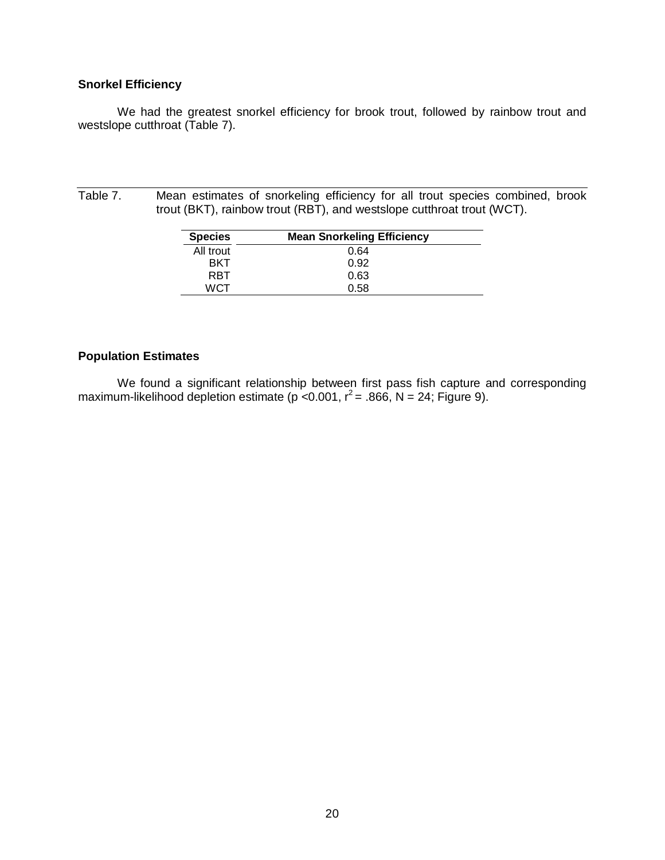#### <span id="page-24-0"></span>**Snorkel Efficiency**

We had the greatest snorkel efficiency for brook trout, followed by rainbow trout and westslope cutthroat (Table 7).

<span id="page-24-2"></span>Table 7. Mean estimates of snorkeling efficiency for all trout species combined, brook trout (BKT), rainbow trout (RBT), and westslope cutthroat trout (WCT).

| <b>Species</b> | <b>Mean Snorkeling Efficiency</b> |
|----------------|-----------------------------------|
| All trout      | 0.64                              |
| RKT            | 0.92                              |
| RRT            | 0.63                              |
| WCT            | 0.58                              |

#### <span id="page-24-1"></span>**Population Estimates**

We found a significant relationship between first pass fish capture and corresponding maximum-likelihood depletion estimate (p < 0.001,  $r^2$  = .866, N = 24; Figure 9).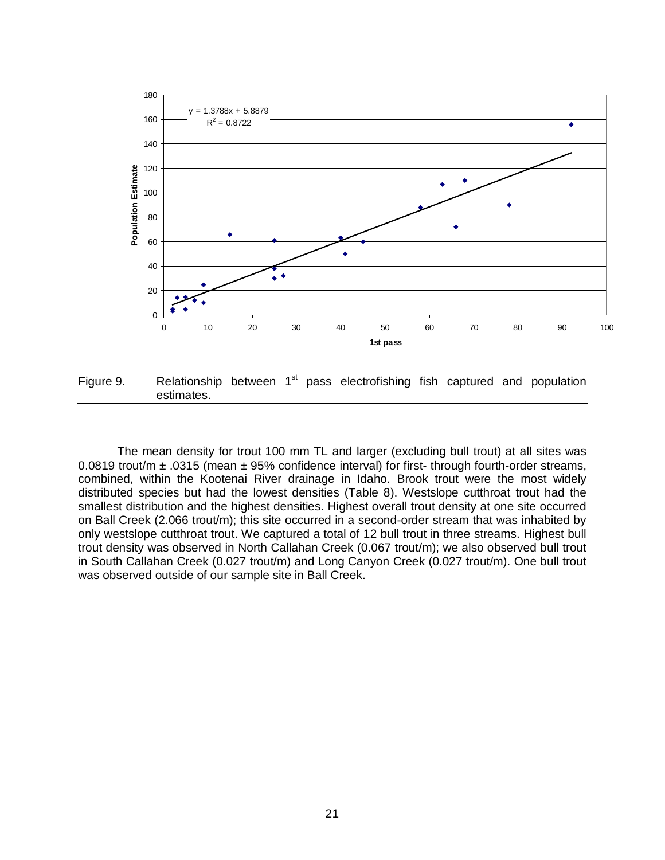

<span id="page-25-0"></span>Figure 9. Relationship between  $1<sup>st</sup>$  pass electrofishing fish captured and population estimates.

The mean density for trout 100 mm TL and larger (excluding bull trout) at all sites was 0.0819 trout/m  $\pm$  .0315 (mean  $\pm$  95% confidence interval) for first- through fourth-order streams, combined, within the Kootenai River drainage in Idaho. Brook trout were the most widely distributed species but had the lowest densities (Table 8). Westslope cutthroat trout had the smallest distribution and the highest densities. Highest overall trout density at one site occurred on Ball Creek (2.066 trout/m); this site occurred in a second-order stream that was inhabited by only westslope cutthroat trout. We captured a total of 12 bull trout in three streams. Highest bull trout density was observed in North Callahan Creek (0.067 trout/m); we also observed bull trout in South Callahan Creek (0.027 trout/m) and Long Canyon Creek (0.027 trout/m). One bull trout was observed outside of our sample site in Ball Creek.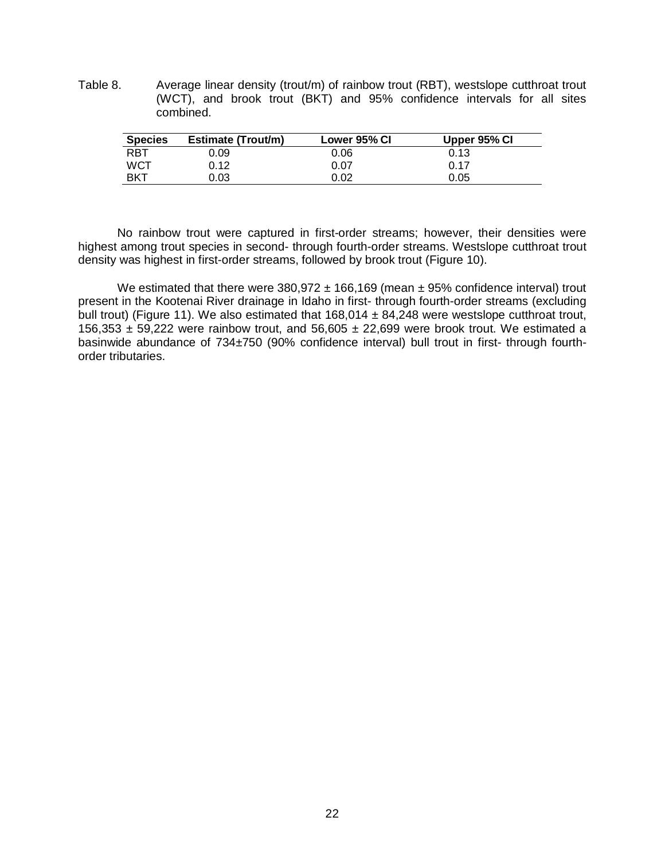<span id="page-26-0"></span>Table 8. Average linear density (trout/m) of rainbow trout (RBT), westslope cutthroat trout (WCT), and brook trout (BKT) and 95% confidence intervals for all sites combined.

| <b>Species</b> | Estimate (Trout/m) | Lower 95% CI | Upper 95% CI |
|----------------|--------------------|--------------|--------------|
| <b>RBT</b>     | 0.09               | 0.06         | 0.13         |
| <b>WCT</b>     | 0.12               | 0.07         | 0.17         |
| <b>BKT</b>     | 0.03               | 0.02         | 0.05         |

No rainbow trout were captured in first-order streams; however, their densities were highest among trout species in second- through fourth-order streams. Westslope cutthroat trout density was highest in first-order streams, followed by brook trout (Figure 10).

We estimated that there were  $380.972 \pm 166.169$  (mean  $\pm 95%$  confidence interval) trout present in the Kootenai River drainage in Idaho in first- through fourth-order streams (excluding bull trout) (Figure 11). We also estimated that 168,014 ± 84,248 were westslope cutthroat trout, 156,353  $\pm$  59,222 were rainbow trout, and 56,605  $\pm$  22,699 were brook trout. We estimated a basinwide abundance of 734±750 (90% confidence interval) bull trout in first- through fourthorder tributaries.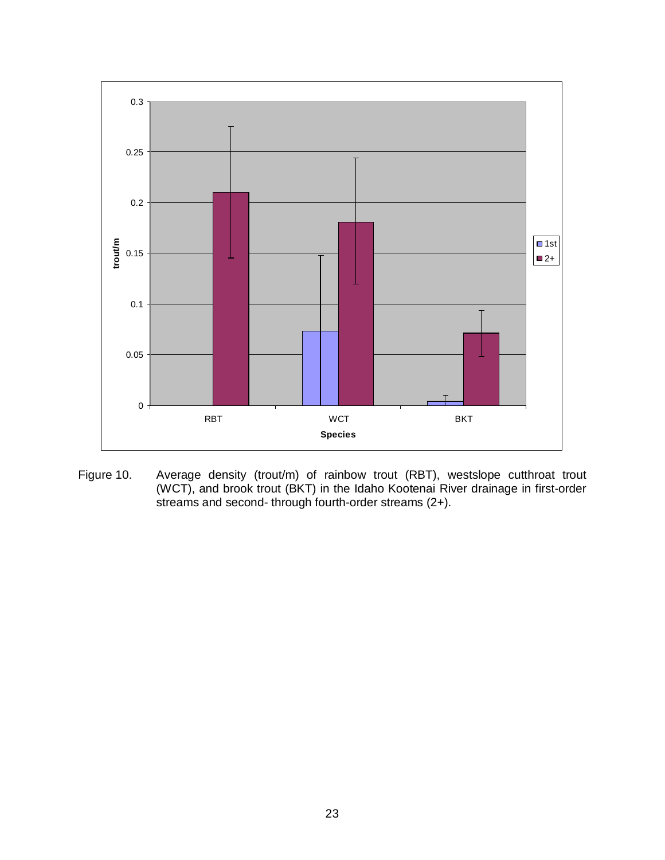

<span id="page-27-0"></span>Figure 10. Average density (trout/m) of rainbow trout (RBT), westslope cutthroat trout (WCT), and brook trout (BKT) in the Idaho Kootenai River drainage in first-order streams and second- through fourth-order streams (2+).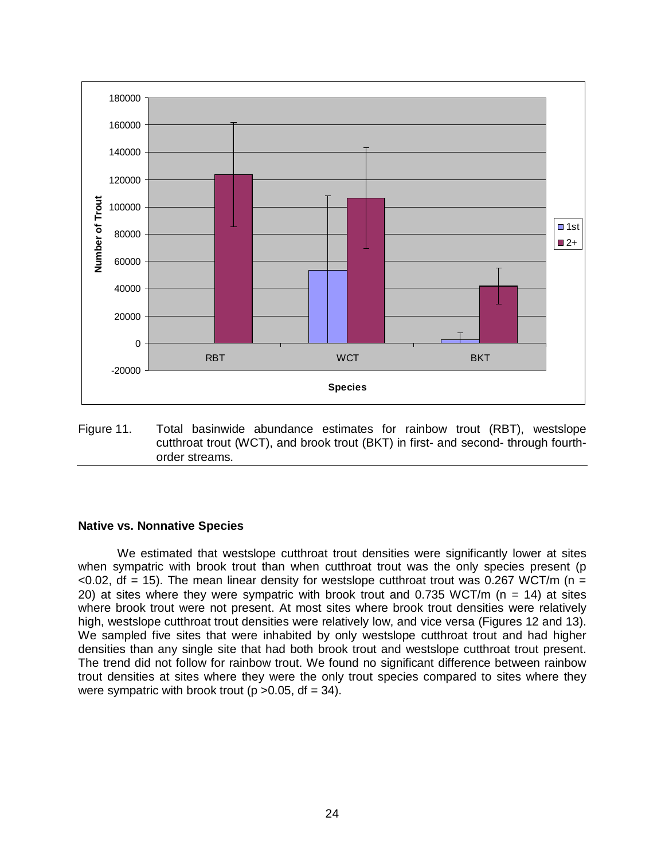

<span id="page-28-1"></span>Figure 11. Total basinwide abundance estimates for rainbow trout (RBT), westslope cutthroat trout (WCT), and brook trout (BKT) in first- and second- through fourthorder streams.

#### <span id="page-28-0"></span>**Native vs. Nonnative Species**

We estimated that westslope cutthroat trout densities were significantly lower at sites when sympatric with brook trout than when cutthroat trout was the only species present (p  $\leq$  0.02, df = 15). The mean linear density for westslope cutthroat trout was 0.267 WCT/m (n = 20) at sites where they were sympatric with brook trout and 0.735 WCT/m ( $n = 14$ ) at sites where brook trout were not present. At most sites where brook trout densities were relatively high, westslope cutthroat trout densities were relatively low, and vice versa (Figures 12 and 13). We sampled five sites that were inhabited by only westslope cutthroat trout and had higher densities than any single site that had both brook trout and westslope cutthroat trout present. The trend did not follow for rainbow trout. We found no significant difference between rainbow trout densities at sites where they were the only trout species compared to sites where they were sympatric with brook trout ( $p > 0.05$ , df = 34).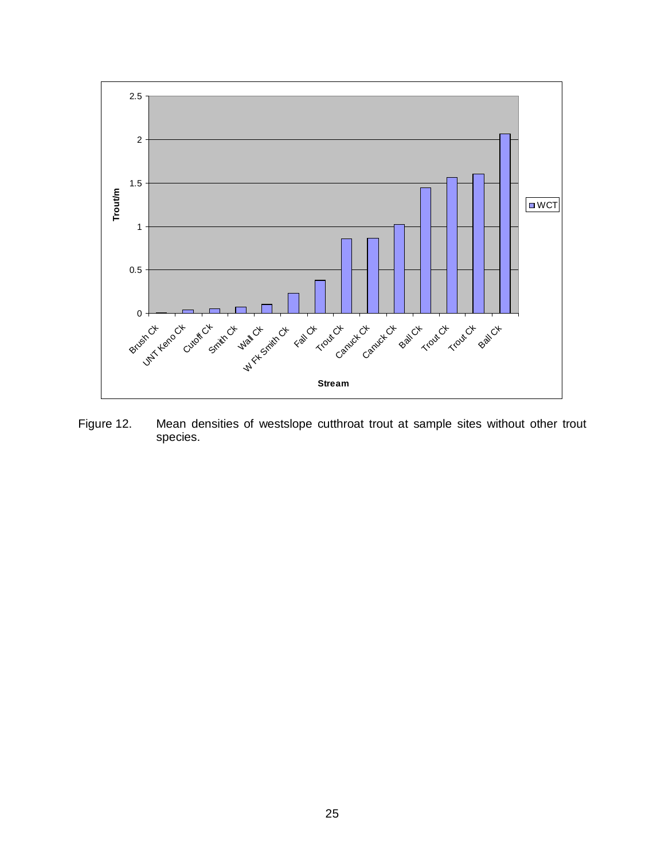

<span id="page-29-0"></span>Figure 12. Mean densities of westslope cutthroat trout at sample sites without other trout species.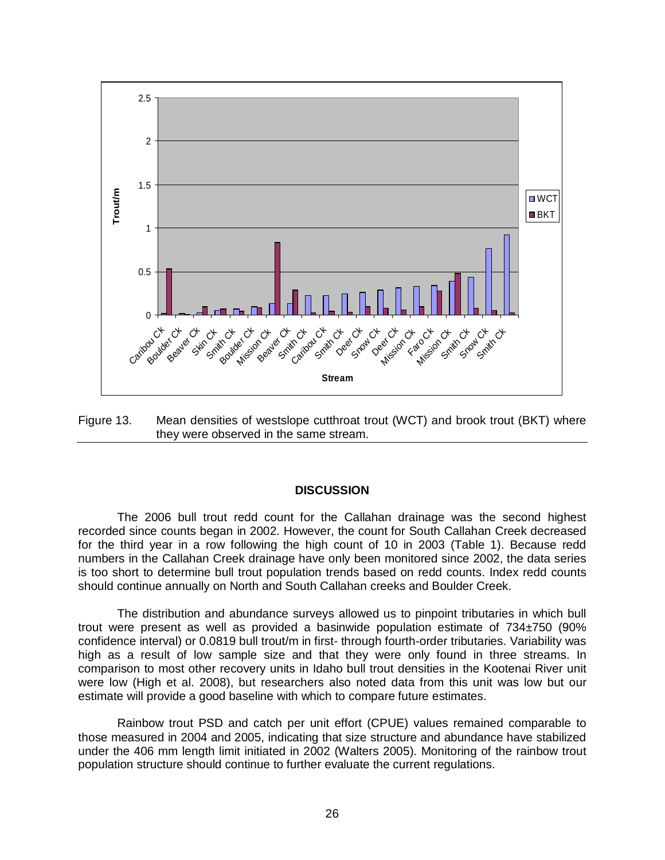

<span id="page-30-1"></span>Figure 13. Mean densities of westslope cutthroat trout (WCT) and brook trout (BKT) where they were observed in the same stream.

#### **DISCUSSION**

<span id="page-30-0"></span>The 2006 bull trout redd count for the Callahan drainage was the second highest recorded since counts began in 2002. However, the count for South Callahan Creek decreased for the third year in a row following the high count of 10 in 2003 (Table 1). Because redd numbers in the Callahan Creek drainage have only been monitored since 2002, the data series is too short to determine bull trout population trends based on redd counts. Index redd counts should continue annually on North and South Callahan creeks and Boulder Creek.

The distribution and abundance surveys allowed us to pinpoint tributaries in which bull trout were present as well as provided a basinwide population estimate of 734±750 (90% confidence interval) or 0.0819 bull trout/m in first- through fourth-order tributaries. Variability was high as a result of low sample size and that they were only found in three streams. In comparison to most other recovery units in Idaho bull trout densities in the Kootenai River unit were low (High et al. 2008), but researchers also noted data from this unit was low but our estimate will provide a good baseline with which to compare future estimates.

Rainbow trout PSD and catch per unit effort (CPUE) values remained comparable to those measured in 2004 and 2005, indicating that size structure and abundance have stabilized under the 406 mm length limit initiated in 2002 (Walters 2005). Monitoring of the rainbow trout population structure should continue to further evaluate the current regulations.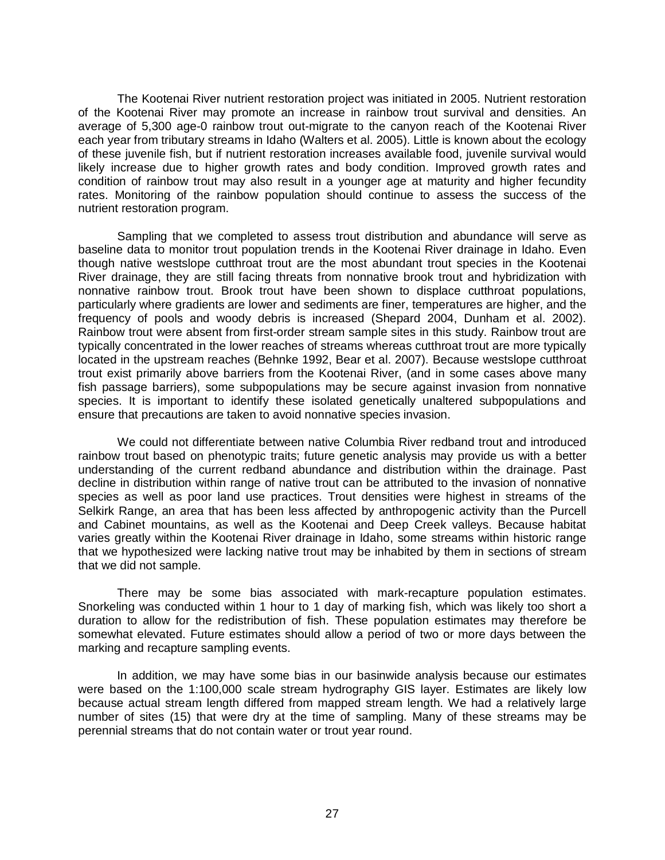The Kootenai River nutrient restoration project was initiated in 2005. Nutrient restoration of the Kootenai River may promote an increase in rainbow trout survival and densities. An average of 5,300 age-0 rainbow trout out-migrate to the canyon reach of the Kootenai River each year from tributary streams in Idaho (Walters et al. 2005). Little is known about the ecology of these juvenile fish, but if nutrient restoration increases available food, juvenile survival would likely increase due to higher growth rates and body condition. Improved growth rates and condition of rainbow trout may also result in a younger age at maturity and higher fecundity rates. Monitoring of the rainbow population should continue to assess the success of the nutrient restoration program.

Sampling that we completed to assess trout distribution and abundance will serve as baseline data to monitor trout population trends in the Kootenai River drainage in Idaho. Even though native westslope cutthroat trout are the most abundant trout species in the Kootenai River drainage, they are still facing threats from nonnative brook trout and hybridization with nonnative rainbow trout. Brook trout have been shown to displace cutthroat populations, particularly where gradients are lower and sediments are finer, temperatures are higher, and the frequency of pools and woody debris is increased (Shepard 2004, Dunham et al. 2002). Rainbow trout were absent from first-order stream sample sites in this study. Rainbow trout are typically concentrated in the lower reaches of streams whereas cutthroat trout are more typically located in the upstream reaches (Behnke 1992, Bear et al. 2007). Because westslope cutthroat trout exist primarily above barriers from the Kootenai River, (and in some cases above many fish passage barriers), some subpopulations may be secure against invasion from nonnative species. It is important to identify these isolated genetically unaltered subpopulations and ensure that precautions are taken to avoid nonnative species invasion.

We could not differentiate between native Columbia River redband trout and introduced rainbow trout based on phenotypic traits; future genetic analysis may provide us with a better understanding of the current redband abundance and distribution within the drainage. Past decline in distribution within range of native trout can be attributed to the invasion of nonnative species as well as poor land use practices. Trout densities were highest in streams of the Selkirk Range, an area that has been less affected by anthropogenic activity than the Purcell and Cabinet mountains, as well as the Kootenai and Deep Creek valleys. Because habitat varies greatly within the Kootenai River drainage in Idaho, some streams within historic range that we hypothesized were lacking native trout may be inhabited by them in sections of stream that we did not sample.

There may be some bias associated with mark-recapture population estimates. Snorkeling was conducted within 1 hour to 1 day of marking fish, which was likely too short a duration to allow for the redistribution of fish. These population estimates may therefore be somewhat elevated. Future estimates should allow a period of two or more days between the marking and recapture sampling events.

In addition, we may have some bias in our basinwide analysis because our estimates were based on the 1:100,000 scale stream hydrography GIS layer. Estimates are likely low because actual stream length differed from mapped stream length. We had a relatively large number of sites (15) that were dry at the time of sampling. Many of these streams may be perennial streams that do not contain water or trout year round.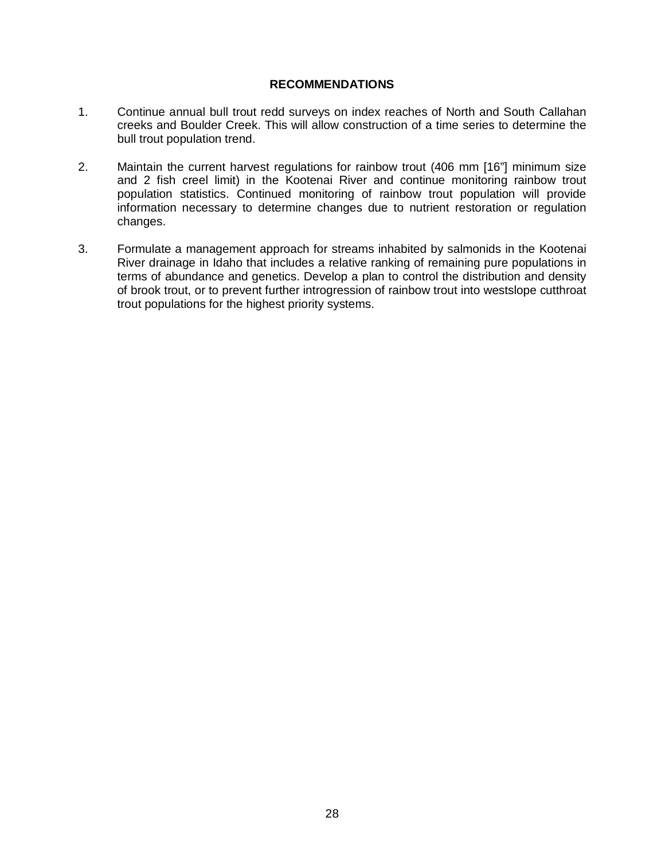#### **RECOMMENDATIONS**

- <span id="page-32-0"></span>1. Continue annual bull trout redd surveys on index reaches of North and South Callahan creeks and Boulder Creek. This will allow construction of a time series to determine the bull trout population trend.
- 2. Maintain the current harvest regulations for rainbow trout (406 mm [16"] minimum size and 2 fish creel limit) in the Kootenai River and continue monitoring rainbow trout population statistics. Continued monitoring of rainbow trout population will provide information necessary to determine changes due to nutrient restoration or regulation changes.
- 3. Formulate a management approach for streams inhabited by salmonids in the Kootenai River drainage in Idaho that includes a relative ranking of remaining pure populations in terms of abundance and genetics. Develop a plan to control the distribution and density of brook trout, or to prevent further introgression of rainbow trout into westslope cutthroat trout populations for the highest priority systems.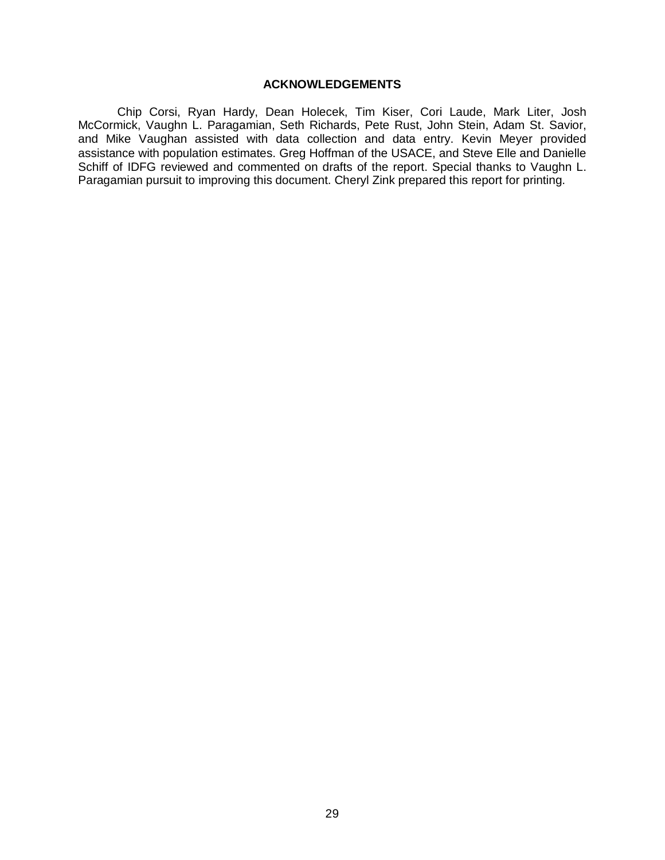#### **ACKNOWLEDGEMENTS**

<span id="page-33-0"></span>Chip Corsi, Ryan Hardy, Dean Holecek, Tim Kiser, Cori Laude, Mark Liter, Josh McCormick, Vaughn L. Paragamian, Seth Richards, Pete Rust, John Stein, Adam St. Savior, and Mike Vaughan assisted with data collection and data entry. Kevin Meyer provided assistance with population estimates. Greg Hoffman of the USACE, and Steve Elle and Danielle Schiff of IDFG reviewed and commented on drafts of the report. Special thanks to Vaughn L. Paragamian pursuit to improving this document. Cheryl Zink prepared this report for printing.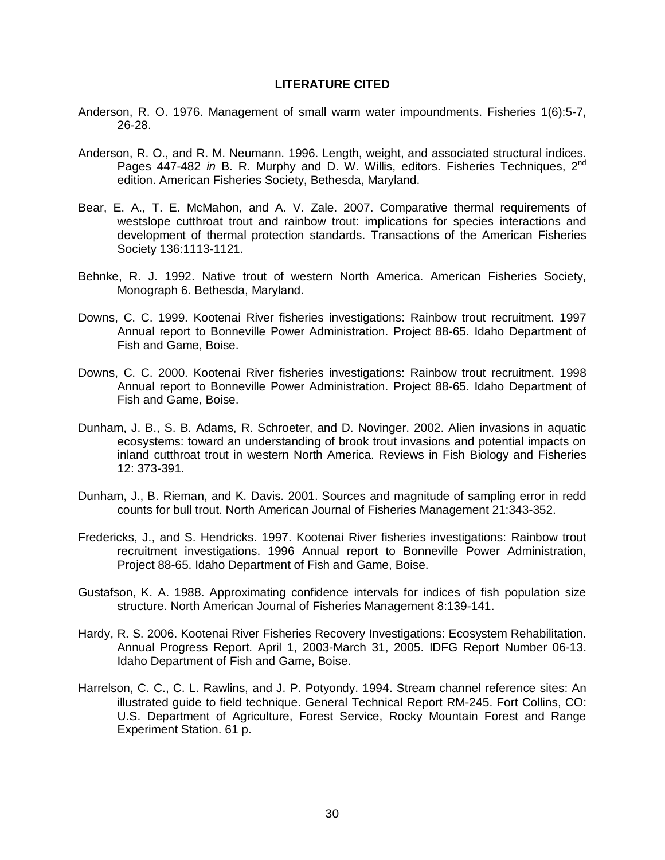#### **LITERATURE CITED**

- <span id="page-34-0"></span>Anderson, R. O. 1976. Management of small warm water impoundments. Fisheries 1(6):5-7, 26-28.
- Anderson, R. O., and R. M. Neumann. 1996. Length, weight, and associated structural indices. Pages 447-482 *in* B. R. Murphy and D. W. Willis, editors. Fisheries Techniques, 2<sup>nd</sup> edition. American Fisheries Society, Bethesda, Maryland.
- Bear, E. A., T. E. McMahon, and A. V. Zale. 2007. Comparative thermal requirements of westslope cutthroat trout and rainbow trout: implications for species interactions and development of thermal protection standards. Transactions of the American Fisheries Society 136:1113-1121.
- Behnke, R. J. 1992. Native trout of western North America. American Fisheries Society, Monograph 6. Bethesda, Maryland.
- Downs, C. C. 1999. Kootenai River fisheries investigations: Rainbow trout recruitment. 1997 Annual report to Bonneville Power Administration. Project 88-65. Idaho Department of Fish and Game, Boise.
- Downs, C. C. 2000. Kootenai River fisheries investigations: Rainbow trout recruitment. 1998 Annual report to Bonneville Power Administration. Project 88-65. Idaho Department of Fish and Game, Boise.
- Dunham, J. B., S. B. Adams, R. Schroeter, and D. Novinger. 2002. Alien invasions in aquatic ecosystems: toward an understanding of brook trout invasions and potential impacts on inland cutthroat trout in western North America. Reviews in Fish Biology and Fisheries 12: 373-391.
- Dunham, J., B. Rieman, and K. Davis. 2001. Sources and magnitude of sampling error in redd counts for bull trout. North American Journal of Fisheries Management 21:343-352.
- Fredericks, J., and S. Hendricks. 1997. Kootenai River fisheries investigations: Rainbow trout recruitment investigations. 1996 Annual report to Bonneville Power Administration, Project 88-65. Idaho Department of Fish and Game, Boise.
- Gustafson, K. A. 1988. Approximating confidence intervals for indices of fish population size structure. North American Journal of Fisheries Management 8:139-141.
- Hardy, R. S. 2006. Kootenai River Fisheries Recovery Investigations: Ecosystem Rehabilitation. Annual Progress Report. April 1, 2003-March 31, 2005. IDFG Report Number 06-13. Idaho Department of Fish and Game, Boise.
- Harrelson, C. C., C. L. Rawlins, and J. P. Potyondy. 1994. Stream channel reference sites: An illustrated guide to field technique. General Technical Report RM-245. Fort Collins, CO: U.S. Department of Agriculture, Forest Service, Rocky Mountain Forest and Range Experiment Station. 61 p.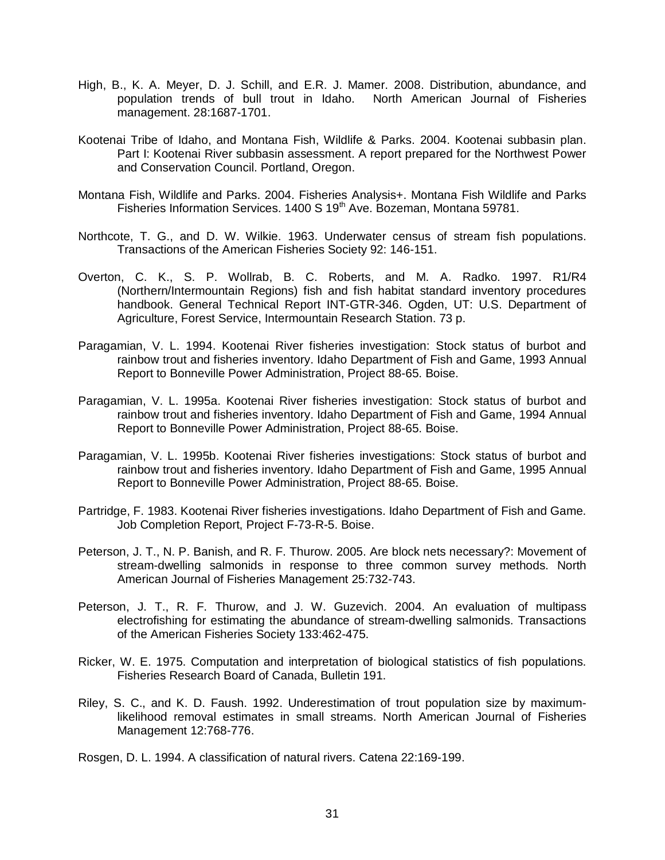- High, B., K. A. Meyer, D. J. Schill, and E.R. J. Mamer. 2008. Distribution, abundance, and population trends of bull trout in Idaho. North American Journal of Fisheries management. 28:1687-1701.
- Kootenai Tribe of Idaho, and Montana Fish, Wildlife & Parks. 2004. Kootenai subbasin plan. Part I: Kootenai River subbasin assessment. A report prepared for the Northwest Power and Conservation Council. Portland, Oregon.
- Montana Fish, Wildlife and Parks. 2004. Fisheries Analysis+. Montana Fish Wildlife and Parks Fisheries Information Services. 1400 S 19<sup>th</sup> Ave. Bozeman, Montana 59781.
- Northcote, T. G., and D. W. Wilkie. 1963. Underwater census of stream fish populations. Transactions of the American Fisheries Society 92: 146-151.
- Overton, C. K., S. P. Wollrab, B. C. Roberts, and M. A. Radko. 1997. R1/R4 (Northern/Intermountain Regions) fish and fish habitat standard inventory procedures handbook. General Technical Report INT-GTR-346. Ogden, UT: U.S. Department of Agriculture, Forest Service, Intermountain Research Station. 73 p.
- Paragamian, V. L. 1994. Kootenai River fisheries investigation: Stock status of burbot and rainbow trout and fisheries inventory. Idaho Department of Fish and Game, 1993 Annual Report to Bonneville Power Administration, Project 88-65. Boise.
- Paragamian, V. L. 1995a. Kootenai River fisheries investigation: Stock status of burbot and rainbow trout and fisheries inventory. Idaho Department of Fish and Game, 1994 Annual Report to Bonneville Power Administration, Project 88-65. Boise.
- Paragamian, V. L. 1995b. Kootenai River fisheries investigations: Stock status of burbot and rainbow trout and fisheries inventory. Idaho Department of Fish and Game, 1995 Annual Report to Bonneville Power Administration, Project 88-65. Boise.
- Partridge, F. 1983. Kootenai River fisheries investigations. Idaho Department of Fish and Game. Job Completion Report, Project F-73-R-5. Boise.
- Peterson, J. T., N. P. Banish, and R. F. Thurow. 2005. Are block nets necessary?: Movement of stream-dwelling salmonids in response to three common survey methods. North American Journal of Fisheries Management 25:732-743.
- Peterson, J. T., R. F. Thurow, and J. W. Guzevich. 2004. An evaluation of multipass electrofishing for estimating the abundance of stream-dwelling salmonids. Transactions of the American Fisheries Society 133:462-475.
- Ricker, W. E. 1975. Computation and interpretation of biological statistics of fish populations. Fisheries Research Board of Canada, Bulletin 191.
- Riley, S. C., and K. D. Faush. 1992. Underestimation of trout population size by maximumlikelihood removal estimates in small streams. North American Journal of Fisheries Management 12:768-776.
- Rosgen, D. L. 1994. A classification of natural rivers. Catena 22:169-199.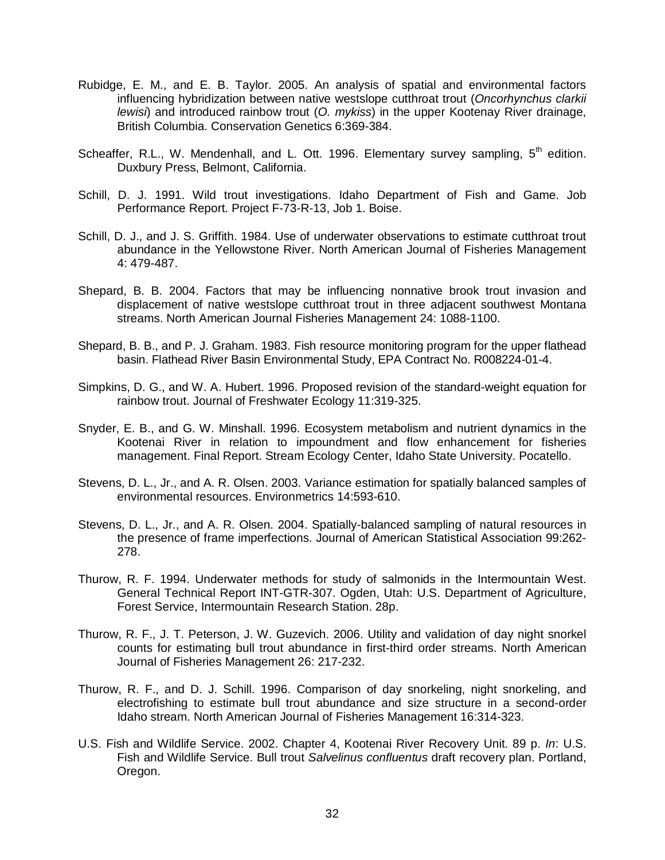- Rubidge, E. M., and E. B. Taylor. 2005. An analysis of spatial and environmental factors influencing hybridization between native westslope cutthroat trout (*Oncorhynchus clarkii lewisi*) and introduced rainbow trout (*O. mykiss*) in the upper Kootenay River drainage, British Columbia. Conservation Genetics 6:369-384.
- Scheaffer, R.L., W. Mendenhall, and L. Ott. 1996. Elementary survey sampling, 5<sup>th</sup> edition. Duxbury Press, Belmont, California.
- Schill, D. J. 1991. Wild trout investigations. Idaho Department of Fish and Game. Job Performance Report. Project F-73-R-13, Job 1. Boise.
- Schill, D. J., and J. S. Griffith. 1984. Use of underwater observations to estimate cutthroat trout abundance in the Yellowstone River. North American Journal of Fisheries Management 4: 479-487.
- Shepard, B. B. 2004. Factors that may be influencing nonnative brook trout invasion and displacement of native westslope cutthroat trout in three adjacent southwest Montana streams. North American Journal Fisheries Management 24: 1088-1100.
- Shepard, B. B., and P. J. Graham. 1983. Fish resource monitoring program for the upper flathead basin. Flathead River Basin Environmental Study, EPA Contract No. R008224-01-4.
- Simpkins, D. G., and W. A. Hubert. 1996. Proposed revision of the standard-weight equation for rainbow trout. Journal of Freshwater Ecology 11:319-325.
- Snyder, E. B., and G. W. Minshall. 1996. Ecosystem metabolism and nutrient dynamics in the Kootenai River in relation to impoundment and flow enhancement for fisheries management. Final Report. Stream Ecology Center, Idaho State University. Pocatello.
- Stevens, D. L., Jr., and A. R. Olsen. 2003. Variance estimation for spatially balanced samples of environmental resources. Environmetrics 14:593-610.
- Stevens, D. L., Jr., and A. R. Olsen. 2004. Spatially-balanced sampling of natural resources in the presence of frame imperfections. Journal of American Statistical Association 99:262- 278.
- Thurow, R. F. 1994. Underwater methods for study of salmonids in the Intermountain West. General Technical Report INT-GTR-307. Ogden, Utah: U.S. Department of Agriculture, Forest Service, Intermountain Research Station. 28p.
- Thurow, R. F., J. T. Peterson, J. W. Guzevich. 2006. Utility and validation of day night snorkel counts for estimating bull trout abundance in first-third order streams. North American Journal of Fisheries Management 26: 217-232.
- Thurow, R. F., and D. J. Schill. 1996. Comparison of day snorkeling, night snorkeling, and electrofishing to estimate bull trout abundance and size structure in a second-order Idaho stream. North American Journal of Fisheries Management 16:314-323.
- U.S. Fish and Wildlife Service. 2002. Chapter 4, Kootenai River Recovery Unit. 89 p. *In*: U.S. Fish and Wildlife Service. Bull trout *Salvelinus confluentus* draft recovery plan. Portland, Oregon.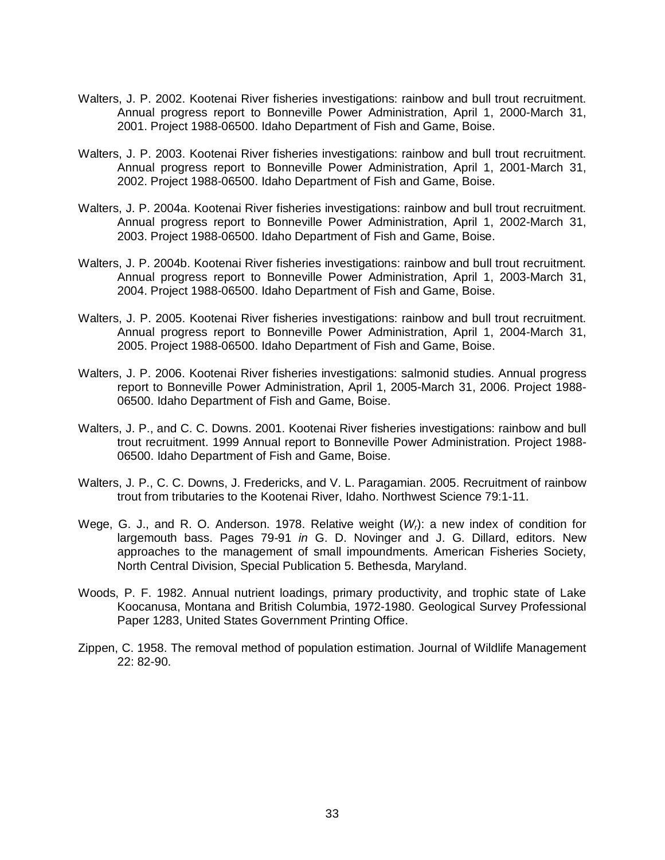- Walters, J. P. 2002. Kootenai River fisheries investigations: rainbow and bull trout recruitment. Annual progress report to Bonneville Power Administration, April 1, 2000-March 31, 2001. Project 1988-06500. Idaho Department of Fish and Game, Boise.
- Walters, J. P. 2003. Kootenai River fisheries investigations: rainbow and bull trout recruitment. Annual progress report to Bonneville Power Administration, April 1, 2001-March 31, 2002. Project 1988-06500. Idaho Department of Fish and Game, Boise.
- Walters, J. P. 2004a. Kootenai River fisheries investigations: rainbow and bull trout recruitment. Annual progress report to Bonneville Power Administration, April 1, 2002-March 31, 2003. Project 1988-06500. Idaho Department of Fish and Game, Boise.
- Walters, J. P. 2004b. Kootenai River fisheries investigations: rainbow and bull trout recruitment. Annual progress report to Bonneville Power Administration, April 1, 2003-March 31, 2004. Project 1988-06500. Idaho Department of Fish and Game, Boise.
- Walters, J. P. 2005. Kootenai River fisheries investigations: rainbow and bull trout recruitment. Annual progress report to Bonneville Power Administration, April 1, 2004-March 31, 2005. Project 1988-06500. Idaho Department of Fish and Game, Boise.
- Walters, J. P. 2006. Kootenai River fisheries investigations: salmonid studies. Annual progress report to Bonneville Power Administration, April 1, 2005-March 31, 2006. Project 1988- 06500. Idaho Department of Fish and Game, Boise.
- Walters, J. P., and C. C. Downs. 2001. Kootenai River fisheries investigations: rainbow and bull trout recruitment. 1999 Annual report to Bonneville Power Administration. Project 1988- 06500. Idaho Department of Fish and Game, Boise.
- Walters, J. P., C. C. Downs, J. Fredericks, and V. L. Paragamian. 2005. Recruitment of rainbow trout from tributaries to the Kootenai River, Idaho. Northwest Science 79:1-11.
- Wege, G. J., and R. O. Anderson. 1978. Relative weight (*Wr*): a new index of condition for largemouth bass. Pages 79-91 *in* G. D. Novinger and J. G. Dillard, editors. New approaches to the management of small impoundments. American Fisheries Society, North Central Division, Special Publication 5. Bethesda, Maryland.
- Woods, P. F. 1982. Annual nutrient loadings, primary productivity, and trophic state of Lake Koocanusa, Montana and British Columbia, 1972-1980. Geological Survey Professional Paper 1283, United States Government Printing Office.
- Zippen, C. 1958. The removal method of population estimation. Journal of Wildlife Management 22: 82-90.